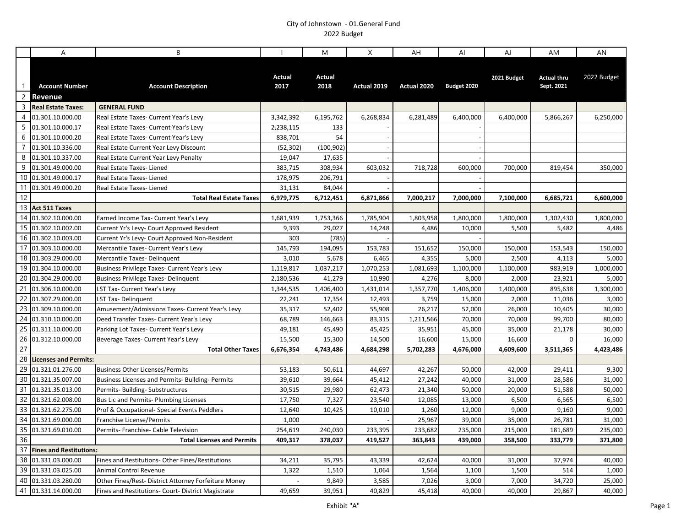|                                  | A                                | B                                                    |                | M                     | $\pmb{\times}$ | AH                 | Al                 | AJ          | AM                               | AN          |
|----------------------------------|----------------------------------|------------------------------------------------------|----------------|-----------------------|----------------|--------------------|--------------------|-------------|----------------------------------|-------------|
| $\overline{1}$<br>$\overline{2}$ | <b>Account Number</b><br>Revenue | <b>Account Description</b>                           | Actual<br>2017 | <b>Actual</b><br>2018 | Actual 2019    | Actual 2020        | Budget 2020        | 2021 Budget | <b>Actual thru</b><br>Sept. 2021 | 2022 Budget |
| $\overline{3}$                   | <b>Real Estate Taxes:</b>        | <b>GENERAL FUND</b>                                  |                |                       |                |                    |                    |             |                                  |             |
| $\overline{4}$                   | 01.301.10.000.00                 | Real Estate Taxes- Current Year's Levy               | 3,342,392      | 6,195,762             | 6,268,834      | 6,281,489          | 6,400,000          | 6,400,000   | 5,866,267                        | 6,250,000   |
| 5                                | 01.301.10.000.17                 | Real Estate Taxes- Current Year's Levy               | 2,238,115      | 133                   |                |                    |                    |             |                                  |             |
| 6                                | 01.301.10.000.20                 | Real Estate Taxes- Current Year's Levy               | 838,701        | 54                    |                |                    |                    |             |                                  |             |
| $\overline{7}$                   | 01.301.10.336.00                 | Real Estate Current Year Levy Discount               | (52, 302)      | (100, 902)            |                |                    |                    |             |                                  |             |
| 8                                | 01.301.10.337.00                 | Real Estate Current Year Levy Penalty                | 19,047         | 17,635                |                |                    |                    |             |                                  |             |
| 9                                | 01.301.49.000.00                 | Real Estate Taxes-Liened                             | 383,715        | 308,934               | 603,032        | 718,728            | 600,000            | 700,000     | 819,454                          | 350,000     |
| 10                               | 01.301.49.000.17                 | Real Estate Taxes- Liened                            | 178,975        | 206,791               |                |                    |                    |             |                                  |             |
| 11                               | 01.301.49.000.20                 | Real Estate Taxes- Liened                            | 31,131         | 84,044                |                |                    |                    |             |                                  |             |
| 12                               |                                  | <b>Total Real Estate Taxes</b>                       | 6,979,775      | 6,712,451             | 6,871,866      | 7,000,217          | 7,000,000          | 7,100,000   | 6,685,721                        | 6,600,000   |
| 13                               | <b>Act 511 Taxes</b>             |                                                      |                |                       |                |                    |                    |             |                                  |             |
| 14                               | 01.302.10.000.00                 | Earned Income Tax- Current Year's Levy               | 1,681,939      | 1,753,366             | 1,785,904      | 1,803,958          | 1,800,000          | 1,800,000   | 1,302,430                        | 1,800,000   |
|                                  | 15 01.302.10.002.00              | Current Yr's Levy- Court Approved Resident           | 9,393          | 29,027                | 14,248         | 4,486              | 10,000             | 5,500       | 5,482                            | 4,486       |
| 16                               | 01.302.10.003.00                 | Current Yr's Levy- Court Approved Non-Resident       | 303            | (785)                 |                |                    |                    |             |                                  |             |
| 17                               | 01.303.10.000.00                 | Mercantile Taxes- Current Year's Levy                | 145,793        | 194,095               | 153,783        | 151,652            | 150,000            | 150,000     | 153,543                          | 150,000     |
|                                  | 18 01.303.29.000.00              | Mercantile Taxes-Delinquent                          | 3,010          | 5,678                 | 6,465          | 4,355              | 5,000              | 2,500       | 4,113                            | 5,000       |
| 19                               | 01.304.10.000.00                 | Business Privilege Taxes- Current Year's Levy        | 1,119,817      | 1,037,217             | 1,070,253      | 1,081,693          | 1,100,000          | 1,100,000   | 983,919                          | 1,000,000   |
| 20                               | 01.304.29.000.00                 | <b>Business Privilege Taxes- Delinquent</b>          | 2,180,536      | 41,279                | 10,990         | 4,276              | 8,000              | 2,000       | 23,921                           | 5,000       |
| 21                               | 01.306.10.000.00                 | LST Tax- Current Year's Levy                         | 1,344,535      | 1,406,400             | 1,431,014      | 1,357,770          | 1,406,000          | 1,400,000   | 895,638                          | 1,300,000   |
| 22                               | 01.307.29.000.00                 | LST Tax- Delinguent                                  | 22,241         | 17,354                | 12,493         | 3,759              | 15,000             | 2,000       | 11,036                           | 3,000       |
| 23                               | 01.309.10.000.00                 | Amusement/Admissions Taxes- Current Year's Levy      | 35,317         | 52,402                | 55,908         | 26,217             | 52,000             | 26,000      | 10,405                           | 30,000      |
| 24                               | 01.310.10.000.00                 | Deed Transfer Taxes- Current Year's Levy             | 68,789         | 146,663               | 83,315         | 1,211,566          | 70,000             | 70,000      | 99,700                           | 80,000      |
| 25                               | 01.311.10.000.00                 | Parking Lot Taxes- Current Year's Levy               | 49,181         | 45,490                | 45,425         | 35,951             | 45,000             | 35,000      | 21,178                           | 30,000      |
| 26                               | 01.312.10.000.00                 | Beverage Taxes- Current Year's Levy                  | 15,500         | 15,300                | 14,500         | 16,600             | 15,000             | 16,600      | $\mathbf 0$                      | 16,000      |
| $\overline{27}$                  |                                  | <b>Total Other Taxes</b>                             | 6,676,354      | 4,743,486             | 4,684,298      | 5,702,283          | 4,676,000          | 4,609,600   | 3,511,365                        | 4,423,486   |
| 28                               | <b>Licenses and Permits:</b>     |                                                      |                |                       |                |                    |                    |             |                                  |             |
| 29                               | 01.321.01.276.00                 | <b>Business Other Licenses/Permits</b>               | 53,183         | 50,611                | 44,697         | 42,267             | 50,000             | 42,000      | 29,411                           | 9,300       |
| 30                               | 01.321.35.007.00                 | Business Licenses and Permits- Building- Permits     | 39,610         | 39,664                | 45,412         | 27,242             | 40,000             | 31,000      | 28,586                           | 31,000      |
| 31                               | 01.321.35.013.00                 | Permits- Building- Substructures                     | 30,515         | 29,980                | 62,473         | 21,340             | 50,000             | 20,000      | 51,588                           | 50,000      |
| 32                               | 01.321.62.008.00                 | Bus Lic and Permits- Plumbing Licenses               | 17,750         | 7,327                 | 23,540         | 12,085             | 13,000             | 6,500       | 6,565                            | 6,500       |
| 33                               | 01.321.62.275.00                 | Prof & Occupational- Special Events Peddlers         | 12,640         | 10,425                | 10,010         | 1,260              | 12,000             | 9,000       | 9,160                            | 9,000       |
| 34                               | 01.321.69.000.00                 | Franchise License/Permits                            | 1,000          |                       |                | 25,967             | 39,000             | 35,000      | 26,781                           | 31,000      |
| 35<br>36                         | 01.321.69.010.00                 | Permits- Franchise- Cable Television                 | 254,619        | 240,030               | 233,395        | 233,682<br>363,843 | 235,000<br>439,000 | 215,000     | 181,689                          | 235,000     |
|                                  | 37 Fines and Restitutions:       | <b>Total Licenses and Permits</b>                    | 409,317        | 378,037               | 419,527        |                    |                    | 358,500     | 333,779                          | 371,800     |
| 38                               | 01.331.03.000.00                 | Fines and Restitutions- Other Fines/Restitutions     | 34,211         | 35,795                | 43,339         | 42,624             | 40,000             | 31,000      | 37,974                           | 40,000      |
| 39                               | 01.331.03.025.00                 | <b>Animal Control Revenue</b>                        | 1,322          | 1,510                 | 1,064          | 1,564              | 1,100              | 1,500       | 514                              | 1,000       |
| 40                               | 01.331.03.280.00                 | Other Fines/Rest- District Attorney Forfeiture Money |                | 9,849                 | 3,585          | 7,026              | 3,000              | 7,000       | 34,720                           | 25,000      |
|                                  | 41 01.331.14.000.00              | Fines and Restitutions- Court- District Magistrate   | 49,659         | 39,951                | 40,829         | 45,418             | 40,000             | 40,000      | 29,867                           | 40,000      |
|                                  |                                  |                                                      |                |                       |                |                    |                    |             |                                  |             |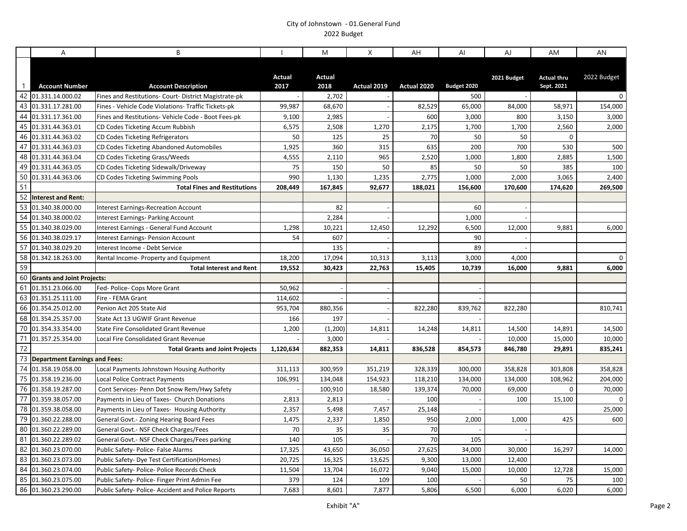|                 | A                                    | B.                                                    |                  | M                | X                | AH              | AI              | AJ              | AM                               | AN          |
|-----------------|--------------------------------------|-------------------------------------------------------|------------------|------------------|------------------|-----------------|-----------------|-----------------|----------------------------------|-------------|
| $\overline{1}$  | <b>Account Number</b>                | <b>Account Description</b>                            | Actual<br>2017   | Actual<br>2018   | Actual 2019      | Actual 2020     | Budget 2020     | 2021 Budget     | <b>Actual thru</b><br>Sept. 2021 | 2022 Budget |
| 42              | 01.331.14.000.02                     | Fines and Restitutions- Court- District Magistrate-pk |                  | 2,702            |                  |                 | 500             |                 |                                  | 0           |
| 43              | 01.331.17.281.00                     | Fines - Vehicle Code Violations- Traffic Tickets-pk   | 99,987           | 68,670           |                  | 82,529          | 65,000          | 84,000          | 58,971                           | 154,000     |
| 44              | 01.331.17.361.00                     | Fines and Restitutions- Vehicle Code - Boot Fees-pk   | 9,100            | 2,985            |                  | 600             | 3,000           | 800             | 3,150                            | 3,000       |
| 45              | 01.331.44.363.01                     | CD Codes Ticketing Accum Rubbish                      | 6,575            | 2,508            | 1,270            | 2,175           | 1,700           | 1,700           | 2,560                            | 2,000       |
| 46              | 01.331.44.363.02                     | CD Codes Ticketing Refrigerators                      | 50               | 125              | 25               | 70              | 50              | 50              | $\mathbf 0$                      |             |
| 47              | 01.331.44.363.03                     | CD Codes Ticketing Abandoned Automobiles              | 1,925            | 360              | 315              | 635             | 200             | 700             | 530                              | 500         |
| 48              | 01.331.44.363.04                     | CD Codes Ticketing Grass/Weeds                        | 4,555            | 2,110            | 965              | 2,520           | 1,000           | 1,800           | 2,885                            | 1,500       |
| 49              | 01.331.44.363.05                     | CD Codes Ticketing Sidewalk/Driveway                  | 75               | 150              | 50               | 85              | 50              | 50              | 385                              | 100         |
| 50              | 01.331.44.363.06                     | CD Codes Ticketing Swimming Pools                     | 990              | 1,130            | 1,235            | 2,775           | 1,000           | 2,000           | 3,065                            | 2,400       |
| 51              |                                      | <b>Total Fines and Restitutions</b>                   | 208,449          | 167,845          | 92,677           | 188,021         | 156,600         | 170,600         | 174,620                          | 269,500     |
| 52              | <b>Interest and Rent:</b>            |                                                       |                  |                  |                  |                 |                 |                 |                                  |             |
| 53              | 01.340.38.000.00                     | <b>Interest Earnings-Recreation Account</b>           |                  | 82               |                  |                 | 60              |                 |                                  |             |
| 54              | 01.340.38.000.02                     | Interest Earnings- Parking Account                    |                  | 2,284            |                  |                 | 1,000           |                 |                                  |             |
| 55              | 01.340.38.029.00                     | Interest Earnings - General Fund Account              | 1,298            | 10,221           | 12,450           | 12,292          | 6,500           | 12,000          | 9,881                            | 6,000       |
| 56<br>57        | 01.340.38.029.17                     | <b>Interest Earnings- Pension Account</b>             | 54               | 607              |                  |                 | 90              |                 |                                  |             |
| 58              | 01.340.38.029.20                     | Interest Income - Debt Service                        |                  | 135              |                  |                 | 89              |                 |                                  |             |
| 59              | 01.342.18.263.00                     | Rental Income-Property and Equipment                  | 18,200<br>19,552 | 17,094<br>30,423 | 10,313<br>22,763 | 3,113<br>15,405 | 3,000<br>10,739 | 4,000<br>16,000 | 9,881                            | 0<br>6,000  |
| 60              | <b>Grants and Joint Projects:</b>    | <b>Total Interest and Rent</b>                        |                  |                  |                  |                 |                 |                 |                                  |             |
| 61              | 01.351.23.066.00                     | Fed- Police- Cops More Grant                          | 50,962           |                  |                  |                 |                 |                 |                                  |             |
| 63              | 01.351.25.111.00                     | Fire - FEMA Grant                                     | 114,602          |                  |                  |                 |                 |                 |                                  |             |
| 66              | 01.354.25.012.00                     | Penion Act 205 State Aid                              | 953,704          | 880,356          | $\sim$           | 822,280         | 839,762         | 822,280         |                                  | 810,741     |
| 68              | 01.354.25.357.00                     | State Act 13 UGWIF Grant Revenue                      | 166              | 197              |                  |                 |                 |                 |                                  |             |
| 70              | 01.354.33.354.00                     | <b>State Fire Consolidated Grant Revenue</b>          | 1,200            | (1, 200)         | 14,811           | 14,248          | 14,811          | 14,500          | 14,891                           | 14,500      |
| 71              | 01.357.25.354.00                     | Local Fire Consolidated Grant Revenue                 |                  | 3,000            |                  |                 |                 | 10,000          | 15,000                           | 10,000      |
| $\overline{72}$ |                                      | <b>Total Grants and Joint Projects</b>                | 1,120,634        | 882,353          | 14,811           | 836,528         | 854,573         | 846,780         | 29,891                           | 835,241     |
| 73              | <b>Department Earnings and Fees:</b> |                                                       |                  |                  |                  |                 |                 |                 |                                  |             |
| 74              | 01.358.19.058.00                     | Local Payments Johnstown Housing Authority            | 311,113          | 300,959          | 351,219          | 328,339         | 300,000         | 358,828         | 303,808                          | 358,828     |
|                 | 75 01.358.19.236.00                  | <b>Local Police Contract Payments</b>                 | 106,991          | 134,048          | 154,923          | 118,210         | 134,000         | 134,000         | 108,962                          | 204,000     |
| 76              | 01.358.19.287.00                     | Cont Services- Penn Dot Snow Rem/Hwy Safety           |                  | 100,910          | 18,580           | 139,374         | 70,000          | 69,000          | $\Omega$                         | 70,000      |
| 77              | 01.359.38.057.00                     | Payments in Lieu of Taxes- Church Donations           | 2,813            | 2,813            |                  | 100             |                 | 100             | 15,100                           |             |
| 78              | 01.359.38.058.00                     | Payments in Lieu of Taxes- Housing Authority          | 2,357            | 5,498            | 7,457            | 25,148          |                 |                 |                                  | 25,000      |
| 79              | 01.360.22.288.00                     | General Govt.- Zoning Hearing Board Fees              | 1,475            | 2,337            | 1,850            | 950             | 2,000           | 1,000           | 425                              | 600         |
| 80              | 01.360.22.289.00                     | General Govt.- NSF Check Charges/Fees                 | 70               | 35               | 35               | 70              |                 |                 |                                  |             |
| 81              | 01.360.22.289.02                     | General Govt.- NSF Check Charges/Fees parking         | 140              | 105              |                  | 70              | 105             |                 |                                  |             |
| 82              | 01.360.23.070.00                     | Public Safety- Police- False Alarms                   | 17,325           | 43,650           | 36,050           | 27,625          | 34,000          | 30,000          | 16,297                           | 14,000      |
| 83              | 01.360.23.073.00                     | Public Safety- Dye Test Certification (Homes)         | 20,725           | 16,325           | 13,625           | 9,300           | 13,000          | 12,400          |                                  |             |
| 84              | 01.360.23.074.00                     | Public Safety- Police- Police Records Check           | 11,504           | 13,704           | 16,072           | 9,040           | 15,000          | 10,000          | 12,728                           | 15,000      |
| 85              | 01.360.23.075.00                     | Public Safety- Police- Finger Print Admin Fee         | 379              | 124              | 109              | 100             |                 | 50              | 75                               | 100         |
|                 | 86 01.360.23.290.00                  | Public Safety- Police- Accident and Police Reports    | 7,683            | 8,601            | 7,877            | 5,806           | 6,500           | 6,000           | 6,020                            | 6,000       |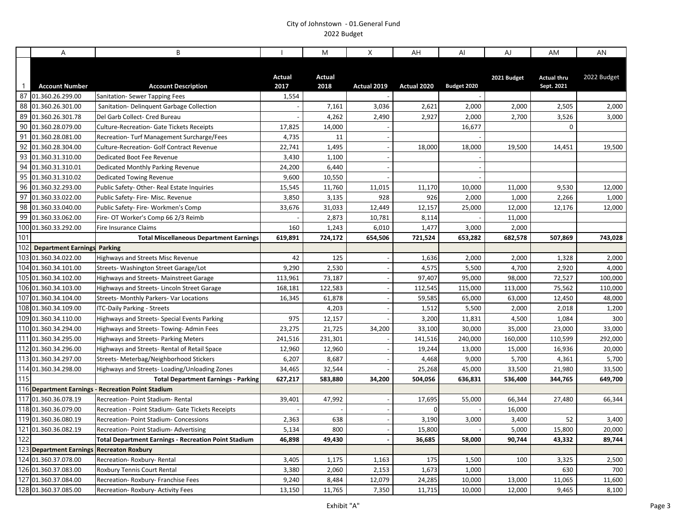|              | $\overline{A}$                          | B                                                                         |                 | M               | X             | AH            | AI              | AJ              | AM                               | AN              |
|--------------|-----------------------------------------|---------------------------------------------------------------------------|-----------------|-----------------|---------------|---------------|-----------------|-----------------|----------------------------------|-----------------|
| $\mathbf{1}$ | <b>Account Number</b>                   | <b>Account Description</b>                                                | Actual<br>2017  | Actual<br>2018  | Actual 2019   | Actual 2020   | Budget 2020     | 2021 Budget     | <b>Actual thru</b><br>Sept. 2021 | 2022 Budget     |
| 87           | 01.360.26.299.00                        | Sanitation- Sewer Tapping Fees                                            | 1,554           |                 |               |               |                 |                 |                                  |                 |
|              | 88 01.360.26.301.00                     | Sanitation- Delinquent Garbage Collection                                 |                 | 7,161           | 3,036         | 2,621         | 2,000           | 2,000           | 2,505                            | 2,000           |
| 89           | 01.360.26.301.78                        | Del Garb Collect- Cred Bureau                                             |                 | 4,262           | 2,490         | 2,927         | 2,000           | 2,700           | 3,526                            | 3,000           |
| 90           | 01.360.28.079.00                        | <b>Culture-Recreation- Gate Tickets Receipts</b>                          | 17,825          | 14,000          |               |               | 16,677          |                 | $\Omega$                         |                 |
| 91           | 01.360.28.081.00                        | Recreation-Turf Management Surcharge/Fees                                 | 4,735           | 11              |               |               |                 |                 |                                  |                 |
| 93           | 92 01.360.28.304.00                     | Culture-Recreation- Golf Contract Revenue                                 | 22,741          | 1,495           |               | 18,000        | 18,000          | 19,500          | 14,451                           | 19,500          |
| 94           | 01.360.31.310.00                        | Dedicated Boot Fee Revenue                                                | 3,430           | 1,100           |               |               |                 |                 |                                  |                 |
|              | 01.360.31.310.01<br>95 01.360.31.310.02 | Dedicated Monthly Parking Revenue                                         | 24,200          | 6,440           |               |               |                 |                 |                                  |                 |
| 96           |                                         | Dedicated Towing Revenue                                                  | 9,600           | 10,550          |               |               |                 |                 |                                  | 12,000          |
| 97           | 01.360.32.293.00<br>01.360.33.022.00    | Public Safety-Other-Real Estate Inquiries                                 | 15,545<br>3,850 | 11,760<br>3,135 | 11,015<br>928 | 11,170<br>926 | 10,000<br>2,000 | 11,000          | 9,530<br>2,266                   |                 |
|              | 98 01.360.33.040.00                     | Public Safety- Fire- Misc. Revenue<br>Public Safety- Fire- Workmen's Comp | 33,676          | 31,033          | 12,449        | 12,157        | 25,000          | 1,000<br>12,000 | 12,176                           | 1,000<br>12,000 |
| 99           | 01.360.33.062.00                        | Fire- OT Worker's Comp 66 2/3 Reimb                                       |                 | 2,873           | 10,781        | 8,114         |                 | 11,000          |                                  |                 |
|              | 100 01.360.33.292.00                    | Fire Insurance Claims                                                     | 160             | 1,243           | 6,010         | 1,477         | 3,000           | 2,000           |                                  |                 |
| 101          |                                         | <b>Total Miscellaneous Department Earnings</b>                            | 619,891         | 724,172         | 654,506       | 721,524       | 653,282         | 682,578         | 507,869                          | 743,028         |
| 102          | <b>Department Earnings Parking</b>      |                                                                           |                 |                 |               |               |                 |                 |                                  |                 |
|              | 103 01.360.34.022.00                    | Highways and Streets Misc Revenue                                         | 42              | 125             |               | 1,636         | 2,000           | 2,000           | 1,328                            | 2,000           |
|              | 104 01.360.34.101.00                    | Streets- Washington Street Garage/Lot                                     | 9,290           | 2,530           |               | 4,575         | 5,500           | 4,700           | 2,920                            | 4,000           |
|              | 105 01.360.34.102.00                    | Highways and Streets- Mainstreet Garage                                   | 113,961         | 73,187          |               | 97,407        | 95,000          | 98,000          | 72,527                           | 100,000         |
|              | 106 01.360.34.103.00                    | Highways and Streets-Lincoln Street Garage                                | 168,181         | 122,583         |               | 112,545       | 115,000         | 113,000         | 75,562                           | 110,000         |
|              | 107 01.360.34.104.00                    | Streets- Monthly Parkers- Var Locations                                   | 16,345          | 61,878          |               | 59,585        | 65,000          | 63,000          | 12,450                           | 48,000          |
|              | 108 01.360.34.109.00                    | ITC-Daily Parking - Streets                                               |                 | 4,203           |               | 1,512         | 5,500           | 2,000           | 2,018                            | 1,200           |
|              | 109 01.360.34.110.00                    | Highways and Streets- Special Events Parking                              | 975             | 12,157          |               | 3,200         | 11,831          | 4,500           | 1,084                            | 300             |
|              | 110 01.360.34.294.00                    | Highways and Streets- Towing- Admin Fees                                  | 23,275          | 21,725          | 34,200        | 33,100        | 30,000          | 35,000          | 23,000                           | 33,000          |
|              | 111 01.360.34.295.00                    | Highways and Streets- Parking Meters                                      | 241,516         | 231,301         |               | 141,516       | 240,000         | 160,000         | 110,599                          | 292,000         |
|              | 112 01.360.34.296.00                    | Highways and Streets- Rental of Retail Space                              | 12,960          | 12,960          |               | 19,244        | 13,000          | 15,000          | 16,936                           | 20,000          |
|              | 113 01.360.34.297.00                    | Streets- Meterbag/Neighborhood Stickers                                   | 6,207           | 8,687           |               | 4,468         | 9,000           | 5,700           | 4,361                            | 5,700           |
|              | 114 01.360.34.298.00                    | Highways and Streets-Loading/Unloading Zones                              | 34,465          | 32,544          |               | 25,268        | 45,000          | 33,500          | 21,980                           | 33,500          |
| 115          |                                         | <b>Total Department Earnings - Parking</b>                                | 627,217         | 583,880         | 34,200        | 504,056       | 636,831         | 536,400         | 344,765                          | 649,700         |
|              |                                         | 116 Department Earnings - Recreation Point Stadium                        |                 |                 |               |               |                 |                 |                                  |                 |
|              | 117 01.360.36.078.19                    | Recreation- Point Stadium- Rental                                         | 39,401          | 47,992          |               | 17,695        | 55,000          | 66,344          | 27,480                           | 66,344          |
|              | 118 01.360.36.079.00                    | Recreation - Point Stadium- Gate Tickets Receipts                         |                 |                 |               | $\mathbf 0$   |                 | 16,000          |                                  |                 |
|              | 119 01.360.36.080.19                    | <b>Recreation-Point Stadium-Concessions</b>                               | 2,363           | 638             |               | 3,190         | 3,000           | 3,400           | 52                               | 3,400           |
|              | 121 01.360.36.082.19                    | Recreation- Point Stadium- Advertising                                    | 5,134           | 800             |               | 15,800        |                 | 5,000           | 15,800                           | 20,000          |
| 122          |                                         | <b>Total Department Earnings - Recreation Point Stadium</b>               | 46,898          | 49,430          |               | 36,685        | 58,000          | 90,744          | 43,332                           | 89,744          |
|              | 123 Department Earnings                 | <b>Recreaton Roxbury</b>                                                  |                 |                 |               |               |                 |                 |                                  |                 |
|              | 124 01.360.37.078.00                    | Recreation-Roxbury-Rental                                                 | 3,405           | 1,175           | 1,163         | 175           | 1,500           | 100             | 3,325                            | 2,500           |
|              | 126 01.360.37.083.00                    | <b>Roxbury Tennis Court Rental</b>                                        | 3,380           | 2,060           | 2,153         | 1,673         | 1,000           |                 | 630                              | 700             |
|              | 127 01.360.37.084.00                    | Recreation-Roxbury-Franchise Fees                                         | 9,240           | 8,484           | 12,079        | 24,285        | 10,000          | 13,000          | 11,065                           | 11,600          |
|              | 128 01.360.37.085.00                    | Recreation-Roxbury-Activity Fees                                          | 13,150          | 11,765          | 7,350         | 11,715        | 10,000          | 12,000          | 9,465                            | 8,100           |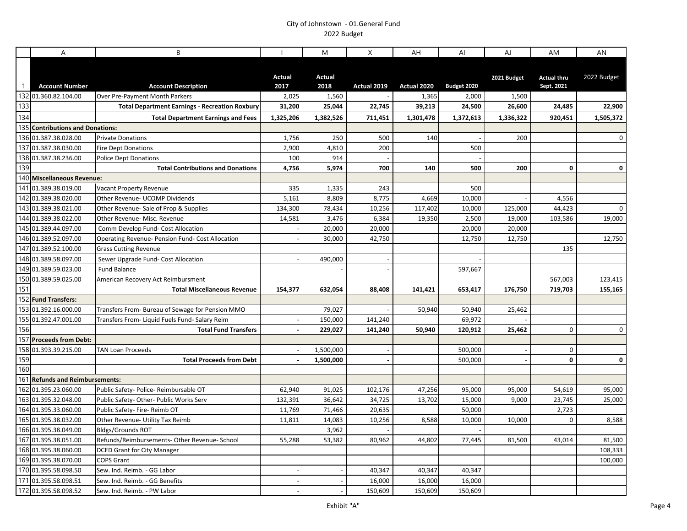|                | A                                                       | B                                                                         |                  | M                     | X           | AH          | Al               | AJ          | AM                               | AN          |
|----------------|---------------------------------------------------------|---------------------------------------------------------------------------|------------------|-----------------------|-------------|-------------|------------------|-------------|----------------------------------|-------------|
| $\overline{1}$ | <b>Account Number</b>                                   | <b>Account Description</b>                                                | Actual<br>2017   | <b>Actual</b><br>2018 | Actual 2019 | Actual 2020 | Budget 2020      | 2021 Budget | <b>Actual thru</b><br>Sept. 2021 | 2022 Budget |
|                | 132 01.360.82.104.00                                    | Over Pre-Payment Month Parkers                                            | 2,025            | 1,560                 |             | 1,365       | 2,000            | 1,500       |                                  |             |
| 133            |                                                         | <b>Total Department Earnings - Recreation Roxbury</b>                     | 31,200           | 25,044                | 22,745      | 39,213      | 24,500           | 26,600      | 24,485                           | 22,900      |
| 134            |                                                         | <b>Total Department Earnings and Fees</b>                                 | 1,325,206        | 1,382,526             | 711,451     | 1,301,478   | 1,372,613        | 1,336,322   | 920.451                          | 1,505,372   |
|                | 135 Contributions and Donations:                        |                                                                           |                  |                       |             |             |                  |             |                                  |             |
|                | 136 01.387.38.028.00                                    | <b>Private Donations</b>                                                  | 1,756            | 250                   | 500         | 140         |                  | 200         |                                  | 0           |
|                | 137 01.387.38.030.00                                    | <b>Fire Dept Donations</b>                                                | 2,900            | 4,810                 | 200         |             | 500              |             |                                  |             |
|                | 138 01.387.38.236.00                                    | <b>Police Dept Donations</b>                                              | 100              | 914                   |             |             |                  |             |                                  |             |
| 139            |                                                         | <b>Total Contributions and Donations</b>                                  | 4,756            | 5,974                 | 700         | 140         | 500              | 200         | 0                                | 0           |
|                | 140 Miscellaneous Revenue:                              |                                                                           |                  |                       |             |             |                  |             |                                  |             |
|                | 141 01.389.38.019.00                                    | Vacant Property Revenue                                                   | 335              | 1,335                 | 243         |             | 500              |             |                                  |             |
|                | 142 01.389.38.020.00                                    | Other Revenue- UCOMP Dividends                                            | 5,161            | 8,809                 | 8,775       | 4,669       | 10,000           |             | 4,556                            |             |
|                | 143 01.389.38.021.00                                    | Other Revenue- Sale of Prop & Supplies                                    | 134,300          | 78,434                | 10,256      | 117,402     | 10,000           | 125,000     | 44,423                           | 0           |
|                | 144 01.389.38.022.00                                    | Other Revenue- Misc. Revenue                                              | 14,581           | 3,476                 | 6,384       | 19,350      | 2,500            | 19,000      | 103,586                          | 19,000      |
|                | 145 01.389.44.097.00                                    | Comm Develop Fund- Cost Allocation                                        |                  | 20,000                | 20,000      |             | 20,000           | 20,000      |                                  |             |
|                | 146 01.389.52.097.00                                    | Operating Revenue- Pension Fund- Cost Allocation                          |                  | 30,000                | 42,750      |             | 12,750           | 12,750      |                                  | 12,750      |
|                | 147 01.389.52.100.00                                    | <b>Grass Cutting Revenue</b>                                              |                  |                       |             |             |                  |             | 135                              |             |
|                | 148 01.389.58.097.00                                    | Sewer Upgrade Fund- Cost Allocation                                       |                  | 490,000               |             |             |                  |             |                                  |             |
|                | 149 01.389.59.023.00                                    | <b>Fund Balance</b>                                                       |                  |                       |             |             | 597,667          |             |                                  |             |
|                | 150 01.389.59.025.00                                    | American Recovery Act Reimbursment                                        |                  |                       |             |             |                  |             | 567,003                          | 123,415     |
| 151            |                                                         | <b>Total Miscellaneous Revenue</b>                                        | 154,377          | 632,054               | 88,408      | 141,421     | 653,417          | 176,750     | 719,703                          | 155,165     |
|                | 152 Fund Transfers:                                     |                                                                           |                  |                       |             |             |                  |             |                                  |             |
|                | 153 01.392.16.000.00                                    | Transfers From- Bureau of Sewage for Pension MMO                          |                  | 79,027                |             | 50,940      | 50,940           | 25,462      |                                  |             |
|                | 155 01.392.47.001.00                                    | Transfers From- Liquid Fuels Fund- Salary Reim                            |                  | 150,000               | 141,240     |             | 69,972           |             |                                  |             |
| 156            |                                                         | <b>Total Fund Transfers</b>                                               |                  | 229,027               | 141,240     | 50,940      | 120,912          | 25,462      | $\mathbf 0$                      | 0           |
|                | 157 Proceeds from Debt:                                 |                                                                           |                  |                       |             |             |                  |             |                                  |             |
| 158            | 01.393.39.215.00                                        | <b>TAN Loan Proceeds</b>                                                  |                  | 1,500,000             |             |             | 500,000          |             | $\mathbf 0$                      |             |
| 159            |                                                         | <b>Total Proceeds from Debt</b>                                           |                  | 1,500,000             |             |             | 500,000          |             | $\mathbf 0$                      | $\mathbf 0$ |
| 160            |                                                         |                                                                           |                  |                       |             |             |                  |             |                                  |             |
|                | 161 Refunds and Reimbursements:<br>162 01.395.23.060.00 |                                                                           |                  |                       |             |             |                  |             |                                  |             |
|                | 163 01.395.32.048.00                                    | Public Safety- Police- Reimbursable OT                                    | 62,940           | 91,025                | 102,176     | 47,256      | 95,000           | 95,000      | 54,619                           | 95,000      |
|                | 164 01.395.33.060.00                                    | Public Safety- Other- Public Works Serv<br>Public Safety- Fire- Reimb OT  | 132,391          | 36,642                | 34,725      | 13,702      | 15,000<br>50,000 | 9,000       | 23,745                           | 25,000      |
|                | 165 01.395.38.032.00                                    |                                                                           | 11,769<br>11,811 | 71,466                | 20,635      |             | 10,000           |             | 2,723<br>$\Omega$                |             |
|                | 166 01.395.38.049.00                                    | Other Revenue- Utility Tax Reimb                                          |                  | 14,083                | 10,256      | 8,588       |                  | 10,000      |                                  | 8,588       |
|                | 167 01.395.38.051.00                                    | <b>Bldgs/Grounds ROT</b><br>Refunds/Reimbursements- Other Revenue- School | 55,288           | 3,962<br>53,382       | 80,962      | 44,802      | 77,445           | 81,500      | 43,014                           | 81,500      |
|                | 168 01.395.38.060.00                                    | <b>DCED Grant for City Manager</b>                                        |                  |                       |             |             |                  |             |                                  | 108,333     |
|                | 169 01.395.38.070.00                                    | <b>COPS Grant</b>                                                         |                  |                       |             |             |                  |             |                                  | 100,000     |
|                | 170 01.395.58.098.50                                    | Sew. Ind. Reimb. - GG Labor                                               |                  |                       | 40,347      | 40,347      | 40,347           |             |                                  |             |
|                | 171 01.395.58.098.51                                    | Sew. Ind. Reimb. - GG Benefits                                            |                  |                       | 16,000      | 16,000      | 16,000           |             |                                  |             |
|                | 172 01.395.58.098.52                                    | Sew. Ind. Reimb. - PW Labor                                               |                  |                       | 150,609     | 150,609     | 150,609          |             |                                  |             |
|                |                                                         |                                                                           |                  |                       |             |             |                  |             |                                  |             |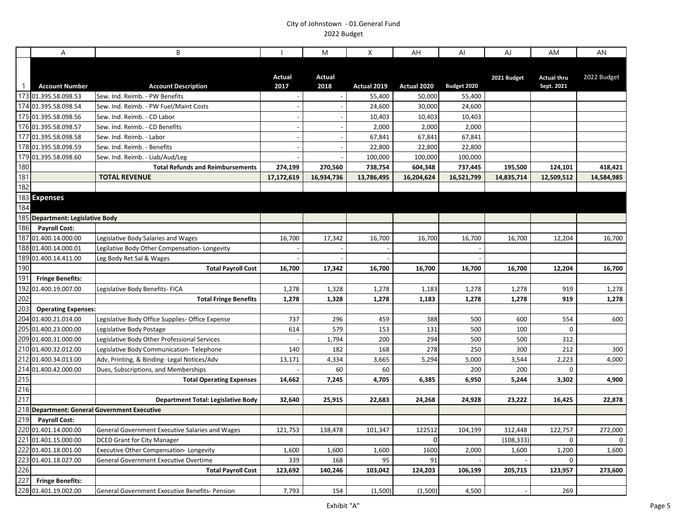| <b>Actual</b><br><b>Actual</b><br>2021 Budget<br><b>Actual thru</b><br>2017<br>2018<br>Actual 2019<br>Actual 2020<br>Budget 2020<br>Sept. 2021<br>$\mathbf{1}$<br><b>Account Number</b><br><b>Account Description</b><br>173 01.395.58.098.53<br>Sew. Ind. Reimb. - PW Benefits<br>55,400<br>50,000<br>55,400<br>174 01.395.58.098.54<br>Sew. Ind. Reimb. - PW Fuel/Maint Costs<br>24,600<br>30,000<br>24,600<br>175 01.395.58.098.56<br>10,403<br>10,403<br>Sew. Ind. Reimb. - CD Labor<br>10,403<br>176 01.395.58.098.57<br>Sew. Ind. Reimb. - CD Benefits<br>2,000<br>2,000<br>2,000<br>177 01.395.58.098.58<br>67,841<br>67,841<br>67,841<br>Sew. Ind. Reimb. - Labor<br>178 01.395.58.098.59<br>22,800<br>22,800<br>22,800<br>Sew. Ind. Reimb. - Benefits<br>179 01.395.58.098.60<br>Sew. Ind. Reimb. - Liab/Aud/Leg<br>100,000<br>100,000<br>100,000<br>180<br><b>Total Refunds and Reimbursements</b><br>274,199<br>270,560<br>738,754<br>604,348<br>737,445<br>195,500<br>124,101<br>181<br><b>TOTAL REVENUE</b><br>17,172,619<br>16,934,736<br>13,786,495<br>16,204,624<br>16,521,799<br>14,835,714<br>12,509,512<br>182<br>183 Expenses<br>184<br>185 Department: Legislative Body<br>186<br><b>Payroll Cost:</b><br>187 01.400.14.000.00<br>16,700<br>Legislative Body Salaries and Wages<br>17,342<br>16,700<br>16,700<br>16,700<br>16,700<br>12,204<br>188 01.400.14.000.01<br>Legilative Body Other Compensation- Longevity<br>189 01.400.14.411.00<br>Leg Body Ret Sal & Wages<br>190<br><b>Total Payroll Cost</b><br>16,700<br>17,342<br>16,700<br>12,204<br>16,700<br>16,700<br>16,700<br>191<br><b>Fringe Benefits:</b><br>192<br>01.400.19.007.00<br>Legislative Body Benefits- FICA<br>1,278<br>1,328<br>1,278<br>1,278<br>1,278<br>919<br>1,183<br>202<br>1,328<br>1,278<br>919<br><b>Total Fringe Benefits</b><br>1,278<br>1,278<br>1,183<br>1,278<br>203<br><b>Operating Expenses:</b><br>204 01.400.21.014.00<br>Legislative Body Office Supplies- Office Expense<br>737<br>296<br>459<br>388<br>500<br>554<br>600<br>205 01.400.23.000.00<br>153<br>131<br>$\mathbf 0$<br>614<br>579<br>500<br>100<br>Legislative Body Postage<br>209 01.400.31.000.00<br>1,794<br>200<br>294<br>500<br>312<br>Legislative Body Other Professional Services<br>500<br>210 01.400.32.012.00<br>140<br>182<br>168<br>278<br>250<br>300<br>212<br>Legislative Body Communication-Telephone<br>212 01.400.34.013.00<br>13,171<br>3,665<br>3,544<br>2,223<br>Adv, Printing, & Binding- Legal Notices/Adv<br>4,334<br>5,294<br>5,000<br>214 01.400.42.000.00<br>60<br>60<br>200<br>200<br>$\mathbf 0$<br>Dues, Subscriptions, and Memberships<br>215<br><b>Total Operating Expenses</b><br>14,662<br>7,245<br>4,705<br>6,385<br>6,950<br>5,244<br>3,302 |     | A | B | M | X | AH | Al | AJ | AM | AN           |
|------------------------------------------------------------------------------------------------------------------------------------------------------------------------------------------------------------------------------------------------------------------------------------------------------------------------------------------------------------------------------------------------------------------------------------------------------------------------------------------------------------------------------------------------------------------------------------------------------------------------------------------------------------------------------------------------------------------------------------------------------------------------------------------------------------------------------------------------------------------------------------------------------------------------------------------------------------------------------------------------------------------------------------------------------------------------------------------------------------------------------------------------------------------------------------------------------------------------------------------------------------------------------------------------------------------------------------------------------------------------------------------------------------------------------------------------------------------------------------------------------------------------------------------------------------------------------------------------------------------------------------------------------------------------------------------------------------------------------------------------------------------------------------------------------------------------------------------------------------------------------------------------------------------------------------------------------------------------------------------------------------------------------------------------------------------------------------------------------------------------------------------------------------------------------------------------------------------------------------------------------------------------------------------------------------------------------------------------------------------------------------------------------------------------------------------------------------------------------------------------------------------------------------------------------------------------------------------------------------------------------------------------------------------------------------------------------------------------------------------------------------|-----|---|---|---|---|----|----|----|----|--------------|
|                                                                                                                                                                                                                                                                                                                                                                                                                                                                                                                                                                                                                                                                                                                                                                                                                                                                                                                                                                                                                                                                                                                                                                                                                                                                                                                                                                                                                                                                                                                                                                                                                                                                                                                                                                                                                                                                                                                                                                                                                                                                                                                                                                                                                                                                                                                                                                                                                                                                                                                                                                                                                                                                                                                                                            |     |   |   |   |   |    |    |    |    | 2022 Budget  |
|                                                                                                                                                                                                                                                                                                                                                                                                                                                                                                                                                                                                                                                                                                                                                                                                                                                                                                                                                                                                                                                                                                                                                                                                                                                                                                                                                                                                                                                                                                                                                                                                                                                                                                                                                                                                                                                                                                                                                                                                                                                                                                                                                                                                                                                                                                                                                                                                                                                                                                                                                                                                                                                                                                                                                            |     |   |   |   |   |    |    |    |    |              |
|                                                                                                                                                                                                                                                                                                                                                                                                                                                                                                                                                                                                                                                                                                                                                                                                                                                                                                                                                                                                                                                                                                                                                                                                                                                                                                                                                                                                                                                                                                                                                                                                                                                                                                                                                                                                                                                                                                                                                                                                                                                                                                                                                                                                                                                                                                                                                                                                                                                                                                                                                                                                                                                                                                                                                            |     |   |   |   |   |    |    |    |    |              |
|                                                                                                                                                                                                                                                                                                                                                                                                                                                                                                                                                                                                                                                                                                                                                                                                                                                                                                                                                                                                                                                                                                                                                                                                                                                                                                                                                                                                                                                                                                                                                                                                                                                                                                                                                                                                                                                                                                                                                                                                                                                                                                                                                                                                                                                                                                                                                                                                                                                                                                                                                                                                                                                                                                                                                            |     |   |   |   |   |    |    |    |    |              |
|                                                                                                                                                                                                                                                                                                                                                                                                                                                                                                                                                                                                                                                                                                                                                                                                                                                                                                                                                                                                                                                                                                                                                                                                                                                                                                                                                                                                                                                                                                                                                                                                                                                                                                                                                                                                                                                                                                                                                                                                                                                                                                                                                                                                                                                                                                                                                                                                                                                                                                                                                                                                                                                                                                                                                            |     |   |   |   |   |    |    |    |    |              |
|                                                                                                                                                                                                                                                                                                                                                                                                                                                                                                                                                                                                                                                                                                                                                                                                                                                                                                                                                                                                                                                                                                                                                                                                                                                                                                                                                                                                                                                                                                                                                                                                                                                                                                                                                                                                                                                                                                                                                                                                                                                                                                                                                                                                                                                                                                                                                                                                                                                                                                                                                                                                                                                                                                                                                            |     |   |   |   |   |    |    |    |    |              |
|                                                                                                                                                                                                                                                                                                                                                                                                                                                                                                                                                                                                                                                                                                                                                                                                                                                                                                                                                                                                                                                                                                                                                                                                                                                                                                                                                                                                                                                                                                                                                                                                                                                                                                                                                                                                                                                                                                                                                                                                                                                                                                                                                                                                                                                                                                                                                                                                                                                                                                                                                                                                                                                                                                                                                            |     |   |   |   |   |    |    |    |    |              |
|                                                                                                                                                                                                                                                                                                                                                                                                                                                                                                                                                                                                                                                                                                                                                                                                                                                                                                                                                                                                                                                                                                                                                                                                                                                                                                                                                                                                                                                                                                                                                                                                                                                                                                                                                                                                                                                                                                                                                                                                                                                                                                                                                                                                                                                                                                                                                                                                                                                                                                                                                                                                                                                                                                                                                            |     |   |   |   |   |    |    |    |    |              |
|                                                                                                                                                                                                                                                                                                                                                                                                                                                                                                                                                                                                                                                                                                                                                                                                                                                                                                                                                                                                                                                                                                                                                                                                                                                                                                                                                                                                                                                                                                                                                                                                                                                                                                                                                                                                                                                                                                                                                                                                                                                                                                                                                                                                                                                                                                                                                                                                                                                                                                                                                                                                                                                                                                                                                            |     |   |   |   |   |    |    |    |    | 418,421      |
|                                                                                                                                                                                                                                                                                                                                                                                                                                                                                                                                                                                                                                                                                                                                                                                                                                                                                                                                                                                                                                                                                                                                                                                                                                                                                                                                                                                                                                                                                                                                                                                                                                                                                                                                                                                                                                                                                                                                                                                                                                                                                                                                                                                                                                                                                                                                                                                                                                                                                                                                                                                                                                                                                                                                                            |     |   |   |   |   |    |    |    |    | 14,584,985   |
|                                                                                                                                                                                                                                                                                                                                                                                                                                                                                                                                                                                                                                                                                                                                                                                                                                                                                                                                                                                                                                                                                                                                                                                                                                                                                                                                                                                                                                                                                                                                                                                                                                                                                                                                                                                                                                                                                                                                                                                                                                                                                                                                                                                                                                                                                                                                                                                                                                                                                                                                                                                                                                                                                                                                                            |     |   |   |   |   |    |    |    |    |              |
|                                                                                                                                                                                                                                                                                                                                                                                                                                                                                                                                                                                                                                                                                                                                                                                                                                                                                                                                                                                                                                                                                                                                                                                                                                                                                                                                                                                                                                                                                                                                                                                                                                                                                                                                                                                                                                                                                                                                                                                                                                                                                                                                                                                                                                                                                                                                                                                                                                                                                                                                                                                                                                                                                                                                                            |     |   |   |   |   |    |    |    |    |              |
|                                                                                                                                                                                                                                                                                                                                                                                                                                                                                                                                                                                                                                                                                                                                                                                                                                                                                                                                                                                                                                                                                                                                                                                                                                                                                                                                                                                                                                                                                                                                                                                                                                                                                                                                                                                                                                                                                                                                                                                                                                                                                                                                                                                                                                                                                                                                                                                                                                                                                                                                                                                                                                                                                                                                                            |     |   |   |   |   |    |    |    |    |              |
|                                                                                                                                                                                                                                                                                                                                                                                                                                                                                                                                                                                                                                                                                                                                                                                                                                                                                                                                                                                                                                                                                                                                                                                                                                                                                                                                                                                                                                                                                                                                                                                                                                                                                                                                                                                                                                                                                                                                                                                                                                                                                                                                                                                                                                                                                                                                                                                                                                                                                                                                                                                                                                                                                                                                                            |     |   |   |   |   |    |    |    |    |              |
|                                                                                                                                                                                                                                                                                                                                                                                                                                                                                                                                                                                                                                                                                                                                                                                                                                                                                                                                                                                                                                                                                                                                                                                                                                                                                                                                                                                                                                                                                                                                                                                                                                                                                                                                                                                                                                                                                                                                                                                                                                                                                                                                                                                                                                                                                                                                                                                                                                                                                                                                                                                                                                                                                                                                                            |     |   |   |   |   |    |    |    |    |              |
|                                                                                                                                                                                                                                                                                                                                                                                                                                                                                                                                                                                                                                                                                                                                                                                                                                                                                                                                                                                                                                                                                                                                                                                                                                                                                                                                                                                                                                                                                                                                                                                                                                                                                                                                                                                                                                                                                                                                                                                                                                                                                                                                                                                                                                                                                                                                                                                                                                                                                                                                                                                                                                                                                                                                                            |     |   |   |   |   |    |    |    |    | 16,700       |
|                                                                                                                                                                                                                                                                                                                                                                                                                                                                                                                                                                                                                                                                                                                                                                                                                                                                                                                                                                                                                                                                                                                                                                                                                                                                                                                                                                                                                                                                                                                                                                                                                                                                                                                                                                                                                                                                                                                                                                                                                                                                                                                                                                                                                                                                                                                                                                                                                                                                                                                                                                                                                                                                                                                                                            |     |   |   |   |   |    |    |    |    |              |
|                                                                                                                                                                                                                                                                                                                                                                                                                                                                                                                                                                                                                                                                                                                                                                                                                                                                                                                                                                                                                                                                                                                                                                                                                                                                                                                                                                                                                                                                                                                                                                                                                                                                                                                                                                                                                                                                                                                                                                                                                                                                                                                                                                                                                                                                                                                                                                                                                                                                                                                                                                                                                                                                                                                                                            |     |   |   |   |   |    |    |    |    |              |
|                                                                                                                                                                                                                                                                                                                                                                                                                                                                                                                                                                                                                                                                                                                                                                                                                                                                                                                                                                                                                                                                                                                                                                                                                                                                                                                                                                                                                                                                                                                                                                                                                                                                                                                                                                                                                                                                                                                                                                                                                                                                                                                                                                                                                                                                                                                                                                                                                                                                                                                                                                                                                                                                                                                                                            |     |   |   |   |   |    |    |    |    | 16,700       |
|                                                                                                                                                                                                                                                                                                                                                                                                                                                                                                                                                                                                                                                                                                                                                                                                                                                                                                                                                                                                                                                                                                                                                                                                                                                                                                                                                                                                                                                                                                                                                                                                                                                                                                                                                                                                                                                                                                                                                                                                                                                                                                                                                                                                                                                                                                                                                                                                                                                                                                                                                                                                                                                                                                                                                            |     |   |   |   |   |    |    |    |    |              |
|                                                                                                                                                                                                                                                                                                                                                                                                                                                                                                                                                                                                                                                                                                                                                                                                                                                                                                                                                                                                                                                                                                                                                                                                                                                                                                                                                                                                                                                                                                                                                                                                                                                                                                                                                                                                                                                                                                                                                                                                                                                                                                                                                                                                                                                                                                                                                                                                                                                                                                                                                                                                                                                                                                                                                            |     |   |   |   |   |    |    |    |    | 1,278        |
|                                                                                                                                                                                                                                                                                                                                                                                                                                                                                                                                                                                                                                                                                                                                                                                                                                                                                                                                                                                                                                                                                                                                                                                                                                                                                                                                                                                                                                                                                                                                                                                                                                                                                                                                                                                                                                                                                                                                                                                                                                                                                                                                                                                                                                                                                                                                                                                                                                                                                                                                                                                                                                                                                                                                                            |     |   |   |   |   |    |    |    |    | 1,278        |
|                                                                                                                                                                                                                                                                                                                                                                                                                                                                                                                                                                                                                                                                                                                                                                                                                                                                                                                                                                                                                                                                                                                                                                                                                                                                                                                                                                                                                                                                                                                                                                                                                                                                                                                                                                                                                                                                                                                                                                                                                                                                                                                                                                                                                                                                                                                                                                                                                                                                                                                                                                                                                                                                                                                                                            |     |   |   |   |   |    |    |    |    |              |
|                                                                                                                                                                                                                                                                                                                                                                                                                                                                                                                                                                                                                                                                                                                                                                                                                                                                                                                                                                                                                                                                                                                                                                                                                                                                                                                                                                                                                                                                                                                                                                                                                                                                                                                                                                                                                                                                                                                                                                                                                                                                                                                                                                                                                                                                                                                                                                                                                                                                                                                                                                                                                                                                                                                                                            |     |   |   |   |   |    |    |    |    | 600          |
|                                                                                                                                                                                                                                                                                                                                                                                                                                                                                                                                                                                                                                                                                                                                                                                                                                                                                                                                                                                                                                                                                                                                                                                                                                                                                                                                                                                                                                                                                                                                                                                                                                                                                                                                                                                                                                                                                                                                                                                                                                                                                                                                                                                                                                                                                                                                                                                                                                                                                                                                                                                                                                                                                                                                                            |     |   |   |   |   |    |    |    |    |              |
|                                                                                                                                                                                                                                                                                                                                                                                                                                                                                                                                                                                                                                                                                                                                                                                                                                                                                                                                                                                                                                                                                                                                                                                                                                                                                                                                                                                                                                                                                                                                                                                                                                                                                                                                                                                                                                                                                                                                                                                                                                                                                                                                                                                                                                                                                                                                                                                                                                                                                                                                                                                                                                                                                                                                                            |     |   |   |   |   |    |    |    |    |              |
|                                                                                                                                                                                                                                                                                                                                                                                                                                                                                                                                                                                                                                                                                                                                                                                                                                                                                                                                                                                                                                                                                                                                                                                                                                                                                                                                                                                                                                                                                                                                                                                                                                                                                                                                                                                                                                                                                                                                                                                                                                                                                                                                                                                                                                                                                                                                                                                                                                                                                                                                                                                                                                                                                                                                                            |     |   |   |   |   |    |    |    |    | 300<br>4,000 |
|                                                                                                                                                                                                                                                                                                                                                                                                                                                                                                                                                                                                                                                                                                                                                                                                                                                                                                                                                                                                                                                                                                                                                                                                                                                                                                                                                                                                                                                                                                                                                                                                                                                                                                                                                                                                                                                                                                                                                                                                                                                                                                                                                                                                                                                                                                                                                                                                                                                                                                                                                                                                                                                                                                                                                            |     |   |   |   |   |    |    |    |    |              |
|                                                                                                                                                                                                                                                                                                                                                                                                                                                                                                                                                                                                                                                                                                                                                                                                                                                                                                                                                                                                                                                                                                                                                                                                                                                                                                                                                                                                                                                                                                                                                                                                                                                                                                                                                                                                                                                                                                                                                                                                                                                                                                                                                                                                                                                                                                                                                                                                                                                                                                                                                                                                                                                                                                                                                            |     |   |   |   |   |    |    |    |    | 4,900        |
|                                                                                                                                                                                                                                                                                                                                                                                                                                                                                                                                                                                                                                                                                                                                                                                                                                                                                                                                                                                                                                                                                                                                                                                                                                                                                                                                                                                                                                                                                                                                                                                                                                                                                                                                                                                                                                                                                                                                                                                                                                                                                                                                                                                                                                                                                                                                                                                                                                                                                                                                                                                                                                                                                                                                                            | 216 |   |   |   |   |    |    |    |    |              |
| 217<br>32,640<br>25,915<br>22,683<br>24,268<br>24,928<br>23,222<br>16,425<br>Department Total: Legislative Body                                                                                                                                                                                                                                                                                                                                                                                                                                                                                                                                                                                                                                                                                                                                                                                                                                                                                                                                                                                                                                                                                                                                                                                                                                                                                                                                                                                                                                                                                                                                                                                                                                                                                                                                                                                                                                                                                                                                                                                                                                                                                                                                                                                                                                                                                                                                                                                                                                                                                                                                                                                                                                            |     |   |   |   |   |    |    |    |    | 22,878       |
| 218 Department: General Government Executive                                                                                                                                                                                                                                                                                                                                                                                                                                                                                                                                                                                                                                                                                                                                                                                                                                                                                                                                                                                                                                                                                                                                                                                                                                                                                                                                                                                                                                                                                                                                                                                                                                                                                                                                                                                                                                                                                                                                                                                                                                                                                                                                                                                                                                                                                                                                                                                                                                                                                                                                                                                                                                                                                                               |     |   |   |   |   |    |    |    |    |              |
| 219<br><b>Payroll Cost:</b>                                                                                                                                                                                                                                                                                                                                                                                                                                                                                                                                                                                                                                                                                                                                                                                                                                                                                                                                                                                                                                                                                                                                                                                                                                                                                                                                                                                                                                                                                                                                                                                                                                                                                                                                                                                                                                                                                                                                                                                                                                                                                                                                                                                                                                                                                                                                                                                                                                                                                                                                                                                                                                                                                                                                |     |   |   |   |   |    |    |    |    |              |
| 220 01.401.14.000.00<br>122,757<br><b>General Government Executive Salaries and Wages</b><br>121,753<br>101,347<br>122512<br>104,199<br>312,448<br>138,478                                                                                                                                                                                                                                                                                                                                                                                                                                                                                                                                                                                                                                                                                                                                                                                                                                                                                                                                                                                                                                                                                                                                                                                                                                                                                                                                                                                                                                                                                                                                                                                                                                                                                                                                                                                                                                                                                                                                                                                                                                                                                                                                                                                                                                                                                                                                                                                                                                                                                                                                                                                                 |     |   |   |   |   |    |    |    |    | 272,000      |
| 221 01.401.15.000.00<br>0<br>(108, 333)<br><b>DCED Grant for City Manager</b><br>0                                                                                                                                                                                                                                                                                                                                                                                                                                                                                                                                                                                                                                                                                                                                                                                                                                                                                                                                                                                                                                                                                                                                                                                                                                                                                                                                                                                                                                                                                                                                                                                                                                                                                                                                                                                                                                                                                                                                                                                                                                                                                                                                                                                                                                                                                                                                                                                                                                                                                                                                                                                                                                                                         |     |   |   |   |   |    |    |    |    |              |
| 222 01.401.18.001.00<br>1600<br>2,000<br>1,600<br>1,200<br>Executive Other Compensation- Longevity<br>1,600<br>1,600<br>1,600                                                                                                                                                                                                                                                                                                                                                                                                                                                                                                                                                                                                                                                                                                                                                                                                                                                                                                                                                                                                                                                                                                                                                                                                                                                                                                                                                                                                                                                                                                                                                                                                                                                                                                                                                                                                                                                                                                                                                                                                                                                                                                                                                                                                                                                                                                                                                                                                                                                                                                                                                                                                                              |     |   |   |   |   |    |    |    |    | 1,600        |
| 223<br>168<br>95<br>$\Omega$<br>01.401.18.027.00<br>339<br>91<br>General Government Executive Overtime                                                                                                                                                                                                                                                                                                                                                                                                                                                                                                                                                                                                                                                                                                                                                                                                                                                                                                                                                                                                                                                                                                                                                                                                                                                                                                                                                                                                                                                                                                                                                                                                                                                                                                                                                                                                                                                                                                                                                                                                                                                                                                                                                                                                                                                                                                                                                                                                                                                                                                                                                                                                                                                     |     |   |   |   |   |    |    |    |    |              |
| 226<br>123,692<br><b>Total Payroll Cost</b><br>103,042<br>124,203<br>106,199<br>205,715<br>123,957<br>140,246                                                                                                                                                                                                                                                                                                                                                                                                                                                                                                                                                                                                                                                                                                                                                                                                                                                                                                                                                                                                                                                                                                                                                                                                                                                                                                                                                                                                                                                                                                                                                                                                                                                                                                                                                                                                                                                                                                                                                                                                                                                                                                                                                                                                                                                                                                                                                                                                                                                                                                                                                                                                                                              |     |   |   |   |   |    |    |    |    | 273,600      |
| 227<br><b>Fringe Benefits:</b>                                                                                                                                                                                                                                                                                                                                                                                                                                                                                                                                                                                                                                                                                                                                                                                                                                                                                                                                                                                                                                                                                                                                                                                                                                                                                                                                                                                                                                                                                                                                                                                                                                                                                                                                                                                                                                                                                                                                                                                                                                                                                                                                                                                                                                                                                                                                                                                                                                                                                                                                                                                                                                                                                                                             |     |   |   |   |   |    |    |    |    |              |
| 228 01.401.19.002.00<br>7,793<br>154<br>(1,500)<br>(1,500)<br>4,500<br>269<br><b>General Government Executive Benefits- Pension</b>                                                                                                                                                                                                                                                                                                                                                                                                                                                                                                                                                                                                                                                                                                                                                                                                                                                                                                                                                                                                                                                                                                                                                                                                                                                                                                                                                                                                                                                                                                                                                                                                                                                                                                                                                                                                                                                                                                                                                                                                                                                                                                                                                                                                                                                                                                                                                                                                                                                                                                                                                                                                                        |     |   |   |   |   |    |    |    |    |              |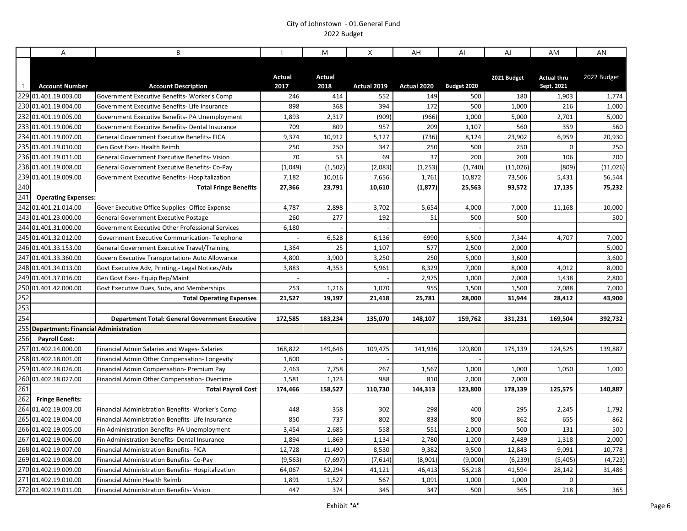|              | A                                        | B                                                     |                | M              | X           | AH          | Al          | AJ          | AM                               | AN          |
|--------------|------------------------------------------|-------------------------------------------------------|----------------|----------------|-------------|-------------|-------------|-------------|----------------------------------|-------------|
| $\mathbf{1}$ | <b>Account Number</b>                    | <b>Account Description</b>                            | Actual<br>2017 | Actual<br>2018 | Actual 2019 | Actual 2020 | Budget 2020 | 2021 Budget | <b>Actual thru</b><br>Sept. 2021 | 2022 Budget |
|              | 229 01.401.19.003.00                     | Government Executive Benefits- Worker's Comp          | 246            | 414            | 552         | 149         | 500         | 180         | 1,903                            | 1,774       |
|              | 230 01.401.19.004.00                     | Government Executive Benefits- Life Insurance         | 898            | 368            | 394         | 172         | 500         | 1,000       | 216                              | 1,000       |
|              | 232 01.401.19.005.00                     | Government Executive Benefits- PA Unemployment        | 1,893          | 2,317          | (909)       | (966)       | 1,000       | 5,000       | 2,701                            | 5,000       |
|              | 233 01.401.19.006.00                     | Government Executive Benefits- Dental Insurance       | 709            | 809            | 957         | 209         | 1,107       | 560         | 359                              | 560         |
|              | 234 01.401.19.007.00                     | <b>General Government Executive Benefits-FICA</b>     | 9,374          | 10,912         | 5,127       | (736)       | 8,124       | 23,902      | 6,959                            | 20,930      |
|              | 235 01.401.19.010.00                     | Gen Govt Exec- Health Reimb                           | 250            | 250            | 347         | 250         | 500         | 250         | 0                                | 250         |
|              | 236 01.401.19.011.00                     | <b>General Government Executive Benefits-Vision</b>   | 70             | 53             | 69          | 37          | 200         | 200         | 106                              | 200         |
|              | 238 01.401.19.008.00                     | General Government Executive Benefits- Co-Pay         | (1,049)        | (1,502)        | (2,083)     | (1, 253)    | (1,740)     | (11, 026)   | (809)                            | (11, 026)   |
|              | 239 01.401.19.009.00                     | Government Executive Benefits- Hospitalization        | 7,182          | 10,016         | 7,656       | 1,761       | 10,872      | 73,506      | 5,431                            | 56,544      |
| 240          |                                          | <b>Total Fringe Benefits</b>                          | 27,366         | 23,791         | 10,610      | (1, 877)    | 25,563      | 93,572      | 17,135                           | 75,232      |
| 241          | <b>Operating Expenses:</b>               |                                                       |                |                |             |             |             |             |                                  |             |
|              | 242 01.401.21.014.00                     | Gover Executive Office Supplies- Office Expense       | 4,787          | 2,898          | 3,702       | 5,654       | 4,000       | 7,000       | 11,168                           | 10,000      |
|              | 243 01.401.23.000.00                     | <b>General Government Executive Postage</b>           | 260            | 277            | 192         | 51          | 500         | 500         |                                  | 500         |
|              | 244 01.401.31.000.00                     | Government Executive Other Professional Services      | 6,180          |                |             |             |             |             |                                  |             |
|              | 245 01.401.32.012.00                     | Government Executive Communication-Telephone          |                | 6,528          | 6,136       | 6990        | 6,500       | 7,344       | 4,707                            | 7,000       |
|              | 246 01.401.33.153.00                     | General Government Executive Travel/Training          | 1,364          | 25             | 1,107       | 577         | 2,500       | 2,000       |                                  | 5,000       |
|              | 247 01.401.33.360.00                     | Govern Executive Transportation- Auto Allowance       | 4,800          | 3,900          | 3,250       | 250         | 5,000       | 3,600       |                                  | 3,600       |
|              | 248 01.401.34.013.00                     | Govt Executive Adv, Printing,- Legal Notices/Adv      | 3,883          | 4,353          | 5,961       | 8,329       | 7,000       | 8,000       | 4,012                            | 8,000       |
|              | 249 01.401.37.016.00                     | Gen Govt Exec- Equip Rep/Maint                        |                |                |             | 2,975       | 1,000       | 2,000       | 1,438                            | 2,800       |
|              | 250 01.401.42.000.00                     | Govt Executive Dues, Subs, and Memberships            | 253            | 1,216          | 1,070       | 955         | 1,500       | 1,500       | 7,088                            | 7,000       |
| 252          |                                          | <b>Total Operating Expenses</b>                       | 21,527         | 19,197         | 21,418      | 25,781      | 28,000      | 31,944      | 28,412                           | 43,900      |
| 253          |                                          |                                                       |                |                |             |             |             |             |                                  |             |
| 254          |                                          | <b>Department Total: General Government Executive</b> | 172,585        | 183,234        | 135,070     | 148,107     | 159,762     | 331,231     | 169,504                          | 392,732     |
|              | 255 Department: Financial Administration |                                                       |                |                |             |             |             |             |                                  |             |
| 256          | <b>Payroll Cost:</b>                     |                                                       |                |                |             |             |             |             |                                  |             |
|              | 257 01.402.14.000.00                     | Financial Admin Salaries and Wages-Salaries           | 168,822        | 149,646        | 109,475     | 141,936     | 120,800     | 175,139     | 124,525                          | 139,887     |
|              | 258 01.402.18.001.00                     | Financial Admin Other Compensation-Longevity          | 1,600          |                |             |             |             |             |                                  |             |
|              | 259 01.402.18.026.00                     | Financial Admin Compensation- Premium Pay             | 2,463          | 7,758          | 267         | 1,567       | 1,000       | 1,000       | 1,050                            | 1,000       |
|              | 260 01.402.18.027.00                     | Financial Admin Other Compensation-Overtime           | 1,581          | 1,123          | 988         | 810         | 2,000       | 2,000       |                                  |             |
| 261          |                                          | <b>Total Payroll Cost</b>                             | 174,466        | 158,527        | 110,730     | 144,313     | 123,800     | 178,139     | 125,575                          | 140,887     |
| 262          | <b>Fringe Benefits:</b>                  |                                                       |                |                |             |             |             |             |                                  |             |
|              | 264 01.402.19.003.00                     | Financial Administration Benefits-Worker's Comp       | 448            | 358            | 302         | 298         | 400         | 295         | 2,245                            | 1,792       |
|              | 265 01.402.19.004.00                     | Financial Administration Benefits-Life Insurance      | 850            | 737            | 802         | 838         | 800         | 862         | 655                              | 862         |
|              | 266 01.402.19.005.00                     | Fin Administration Benefits-PA Unemployment           | 3,454          | 2,685          | 558         | 551         | 2,000       | 500         | 131                              | 500         |
|              | 267 01.402.19.006.00                     | Fin Administration Benefits- Dental Insurance         | 1,894          | 1,869          | 1,134       | 2,780       | 1,200       | 2,489       | 1,318                            | 2,000       |
|              | 268 01.402.19.007.00                     | Financial Administration Benefits- FICA               | 12,728         | 11,490         | 8,530       | 9,382       | 9,500       | 12,843      | 9,091                            | 10,778      |
|              | 269 01.402.19.008.00                     | Financial Administration Benefits-Co-Pay              | (9, 563)       | (7,697)        | (7,614)     | (8,901)     | (9,000)     | (6, 239)    | (5, 405)                         | (4, 723)    |
|              | 270 01.402.19.009.00                     | Financial Administration Benefits- Hospitalization    | 64,067         | 52,294         | 41,121      | 46,413      | 56,218      | 41,594      | 28,142                           | 31,486      |
|              | 271 01.402.19.010.00                     | Financial Admin Health Reimb                          | 1,891          | 1,527          | 567         | 1,091       | 1,000       | 1,000       | $\mathbf 0$                      |             |
|              | 272 01.402.19.011.00                     | Financial Administration Benefits- Vision             | 447            | 374            | 345         | 347         | 500         | 365         | 218                              | 365         |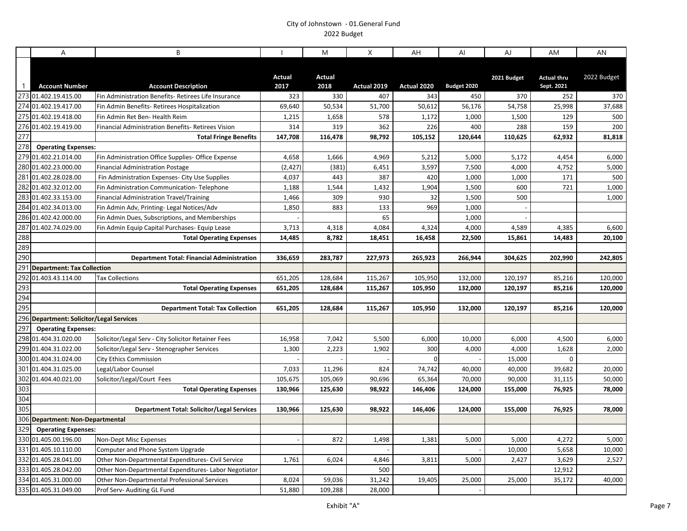|              | A                                        | B                                                    |                | M              | X           | AH          | Al          | AJ          | AM                               | AN          |
|--------------|------------------------------------------|------------------------------------------------------|----------------|----------------|-------------|-------------|-------------|-------------|----------------------------------|-------------|
| $\mathbf{1}$ | <b>Account Number</b>                    | <b>Account Description</b>                           | Actual<br>2017 | Actual<br>2018 | Actual 2019 | Actual 2020 | Budget 2020 | 2021 Budget | <b>Actual thru</b><br>Sept. 2021 | 2022 Budget |
|              | 273 01.402.19.415.00                     | Fin Administration Benefits- Retirees Life Insurance | 323            | 330            | 407         | 343         | 450         | 370         | 252                              | 370         |
|              | 274 01.402.19.417.00                     | Fin Admin Benefits-Retirees Hospitalization          | 69,640         | 50,534         | 51,700      | 50,612      | 56,176      | 54,758      | 25,998                           | 37,688      |
|              | 275 01.402.19.418.00                     | Fin Admin Ret Ben- Health Reim                       | 1,215          | 1,658          | 578         | 1,172       | 1,000       | 1,500       | 129                              | 500         |
|              | 276 01.402.19.419.00                     | Financial Administration Benefits- Retirees Vision   | 314            | 319            | 362         | 226         | 400         | 288         | 159                              | 200         |
| 277          |                                          | <b>Total Fringe Benefits</b>                         | 147,708        | 116,478        | 98,792      | 105,152     | 120,644     | 110,625     | 62,932                           | 81,818      |
| 278          | <b>Operating Expenses:</b>               |                                                      |                |                |             |             |             |             |                                  |             |
|              | 279 01.402.21.014.00                     | Fin Administration Office Supplies- Office Expense   | 4,658          | 1,666          | 4,969       | 5,212       | 5,000       | 5,172       | 4,454                            | 6,000       |
|              | 280 01.402.23.000.00                     | <b>Financial Administration Postage</b>              | (2, 427)       | (381)          | 6,451       | 3,597       | 7,500       | 4,000       | 4,752                            | 5,000       |
|              | 281 01.402.28.028.00                     | Fin Administration Expenses- City Use Supplies       | 4,037          | 443            | 387         | 420         | 1,000       | 1,000       | 171                              | 500         |
|              | 282 01.402.32.012.00                     | Fin Administration Communication-Telephone           | 1,188          | 1,544          | 1,432       | 1,904       | 1,500       | 600         | 721                              | 1,000       |
|              | 283 01.402.33.153.00                     | Financial Administration Travel/Training             | 1,466          | 309            | 930         | 32          | 1,500       | 500         |                                  | 1,000       |
|              | 284 01.402.34.013.00                     | Fin Admin Adv, Printing- Legal Notices/Adv           | 1,850          | 883            | 133         | 969         | 1,000       |             |                                  |             |
|              | 286 01.402.42.000.00                     | Fin Admin Dues, Subscriptions, and Memberships       |                |                | 65          |             | 1,000       |             |                                  |             |
|              | 287 01.402.74.029.00                     | Fin Admin Equip Capital Purchases- Equip Lease       | 3,713          | 4,318          | 4,084       | 4,324       | 4,000       | 4,589       | 4,385                            | 6,600       |
| 288          |                                          | <b>Total Operating Expenses</b>                      | 14,485         | 8,782          | 18,451      | 16,458      | 22,500      | 15,861      | 14,483                           | 20,100      |
| 289          |                                          |                                                      |                |                |             |             |             |             |                                  |             |
| 290          |                                          | <b>Department Total: Financial Administration</b>    | 336,659        | 283,787        | 227,973     | 265,923     | 266,944     | 304,625     | 202,990                          | 242,805     |
|              | 291 Department: Tax Collection           |                                                      |                |                |             |             |             |             |                                  |             |
|              | 292 01.403.43.114.00                     | <b>Tax Collections</b>                               | 651,205        | 128,684        | 115,267     | 105,950     | 132,000     | 120,197     | 85,216                           | 120,000     |
| 293          |                                          | <b>Total Operating Expenses</b>                      | 651,205        | 128,684        | 115,267     | 105,950     | 132,000     | 120,197     | 85,216                           | 120,000     |
| 294          |                                          |                                                      |                |                |             |             |             |             |                                  |             |
| 295          |                                          | <b>Department Total: Tax Collection</b>              | 651,205        | 128,684        | 115,267     | 105,950     | 132,000     | 120,197     | 85,216                           | 120,000     |
|              | 296 Department: Solicitor/Legal Services |                                                      |                |                |             |             |             |             |                                  |             |
| 297          | <b>Operating Expenses:</b>               |                                                      |                |                |             |             |             |             |                                  |             |
|              | 298 01.404.31.020.00                     | Solicitor/Legal Serv - City Solicitor Retainer Fees  | 16,958         | 7,042          | 5,500       | 6,000       | 10,000      | 6,000       | 4,500                            | 6,000       |
|              | 299 01.404.31.022.00                     | Solicitor/Legal Serv - Stenographer Services         | 1,300          | 2,223          | 1,902       | 300         | 4,000       | 4,000       | 1,628                            | 2,000       |
|              | 300 01.404.31.024.00                     | <b>City Ethics Commission</b>                        |                |                |             | $\Omega$    |             | 15,000      | $\mathbf 0$                      |             |
|              | 301 01.404.31.025.00                     | Legal/Labor Counsel                                  | 7,033          | 11,296         | 824         | 74,742      | 40,000      | 40,000      | 39,682                           | 20,000      |
|              | 302 01.404.40.021.00                     | Solicitor/Legal/Court Fees                           | 105,675        | 105,069        | 90,696      | 65,364      | 70,000      | 90,000      | 31,115                           | 50,000      |
| 303          |                                          | <b>Total Operating Expenses</b>                      | 130,966        | 125,630        | 98,922      | 146,406     | 124,000     | 155,000     | 76,925                           | 78,000      |
| 304          |                                          |                                                      |                |                |             |             |             |             |                                  |             |
| 305          |                                          | <b>Department Total: Solicitor/Legal Services</b>    | 130,966        | 125,630        | 98,922      | 146,406     | 124,000     | 155,000     | 76,925                           | 78,000      |
|              | 306 Department: Non-Departmental         |                                                      |                |                |             |             |             |             |                                  |             |
| 329          | <b>Operating Expenses:</b>               |                                                      |                |                |             |             |             |             |                                  |             |
|              | 330 01.405.00.196.00                     | <b>Non-Dept Misc Expenses</b>                        |                | 872            | 1,498       | 1,381       | 5,000       | 5,000       | 4,272                            | 5,000       |
|              | 331 01.405.10.110.00                     | Computer and Phone System Upgrade                    |                |                |             |             |             | 10,000      | 5,658                            | 10,000      |
|              | 332 01.405.28.041.00                     | Other Non-Departmental Expenditures- Civil Service   | 1,761          | 6,024          | 4,846       | 3,811       | 5,000       | 2,427       | 3,629                            | 2,527       |
|              | 333 01.405.28.042.00                     | Other Non-Departmental Expenditures-Labor Negotiator |                |                | 500         |             |             |             | 12,912                           |             |
|              | 334 01.405.31.000.00                     | <b>Other Non-Departmental Professional Services</b>  | 8,024          | 59,036         | 31,242      | 19,405      | 25,000      | 25,000      | 35,172                           | 40,000      |
|              | 335 01.405.31.049.00                     | Prof Serv- Auditing GL Fund                          | 51,880         | 109,288        | 28,000      |             |             |             |                                  |             |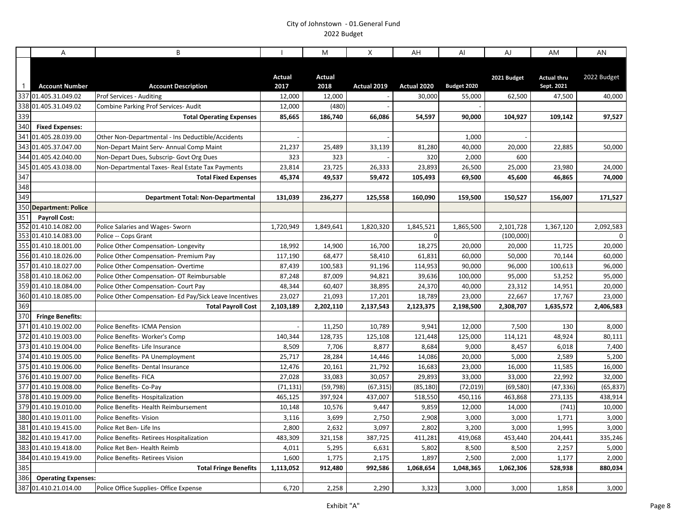|                | A                          | B                                                       |                       | M              | X           | AH             | AI          | AJ          | AM                               | AN          |
|----------------|----------------------------|---------------------------------------------------------|-----------------------|----------------|-------------|----------------|-------------|-------------|----------------------------------|-------------|
| $\overline{1}$ | <b>Account Number</b>      | <b>Account Description</b>                              | <b>Actual</b><br>2017 | Actual<br>2018 | Actual 2019 | Actual 2020    | Budget 2020 | 2021 Budget | <b>Actual thru</b><br>Sept. 2021 | 2022 Budget |
|                | 337 01.405.31.049.02       | <b>Prof Services - Auditing</b>                         | 12,000                | 12,000         |             | 30,000         | 55,000      | 62,500      | 47,500                           | 40,000      |
|                | 338 01.405.31.049.02       | Combine Parking Prof Services- Audit                    | 12,000                | (480)          |             |                |             |             |                                  |             |
| 339            |                            | <b>Total Operating Expenses</b>                         | 85,665                | 186,740        | 66,086      | 54,597         | 90,000      | 104,927     | 109,142                          | 97,527      |
| 340            | <b>Fixed Expenses:</b>     |                                                         |                       |                |             |                |             |             |                                  |             |
|                | 341 01.405.28.039.00       | Other Non-Departmental - Ins Deductible/Accidents       |                       |                |             |                | 1,000       |             |                                  |             |
|                | 343 01.405.37.047.00       | Non-Depart Maint Serv- Annual Comp Maint                | 21,237                | 25,489         | 33,139      | 81,280         | 40,000      | 20,000      | 22,885                           | 50,000      |
| 344            | 01.405.42.040.00           | Non-Depart Dues, Subscrip- Govt Org Dues                | 323                   | 323            |             | 320            | 2,000       | 600         |                                  |             |
|                | 345 01.405.43.038.00       | Non-Departmental Taxes-Real Estate Tax Payments         | 23,814                | 23,725         | 26,333      | 23,893         | 26,500      | 25,000      | 23,980                           | 24,000      |
| 347            |                            | <b>Total Fixed Expenses</b>                             | 45,374                | 49,537         | 59,472      | 105,493        | 69,500      | 45,600      | 46,865                           | 74,000      |
| 348            |                            |                                                         |                       |                |             |                |             |             |                                  |             |
| 349            |                            | <b>Department Total: Non-Departmental</b>               | 131,039               | 236,277        | 125,558     | 160,090        | 159,500     | 150,527     | 156,007                          | 171,527     |
|                | 350 Department: Police     |                                                         |                       |                |             |                |             |             |                                  |             |
| 351            | <b>Payroll Cost:</b>       |                                                         |                       |                |             |                |             |             |                                  |             |
|                | 352 01.410.14.082.00       | Police Salaries and Wages- Sworn                        | 1,720,949             | 1,849,641      | 1,820,320   | 1,845,521      | 1,865,500   | 2,101,728   | 1,367,120                        | 2,092,583   |
|                | 353 01.410.14.083.00       | Police -- Cops Grant                                    |                       |                |             | $\overline{0}$ |             | (100,000)   |                                  | $\Omega$    |
|                | 355 01.410.18.001.00       | Police Other Compensation-Longevity                     | 18,992                | 14,900         | 16,700      | 18,275         | 20,000      | 20,000      | 11,725                           | 20,000      |
|                | 356 01.410.18.026.00       | Police Other Compensation-Premium Pay                   | 117,190               | 68,477         | 58,410      | 61,831         | 60,000      | 50,000      | 70,144                           | 60,000      |
|                | 357 01.410.18.027.00       | Police Other Compensation-Overtime                      | 87,439                | 100,583        | 91,196      | 114,953        | 90,000      | 96,000      | 100,613                          | 96,000      |
|                | 358 01.410.18.062.00       | Police Other Compensation- OT Reimbursable              | 87,248                | 87,009         | 94,821      | 39,636         | 100,000     | 95,000      | 53,252                           | 95,000      |
|                | 359 01.410.18.084.00       | Police Other Compensation- Court Pay                    | 48,344                | 60,407         | 38,895      | 24,370         | 40,000      | 23,312      | 14,951                           | 20,000      |
|                | 360 01.410.18.085.00       | Police Other Compensation- Ed Pay/Sick Leave Incentives | 23,027                | 21,093         | 17,201      | 18,789         | 23,000      | 22,667      | 17,767                           | 23,000      |
| 369            |                            | <b>Total Payroll Cost</b>                               | 2,103,189             | 2,202,110      | 2,137,543   | 2,123,375      | 2,198,500   | 2,308,707   | 1,635,572                        | 2,406,583   |
| 370            | <b>Fringe Benefits:</b>    |                                                         |                       |                |             |                |             |             |                                  |             |
|                | 371 01.410.19.002.00       | Police Benefits- ICMA Pension                           |                       | 11,250         | 10,789      | 9,941          | 12,000      | 7,500       | 130                              | 8,000       |
|                | 372 01.410.19.003.00       | Police Benefits-Worker's Comp                           | 140,344               | 128,735        | 125,108     | 121,448        | 125,000     | 114,121     | 48,924                           | 80,111      |
|                | 373 01.410.19.004.00       | Police Benefits- Life Insurance                         | 8,509                 | 7,706          | 8,877       | 8,684          | 9,000       | 8,457       | 6,018                            | 7,400       |
|                | 374 01.410.19.005.00       | Police Benefits- PA Unemployment                        | 25,717                | 28,284         | 14,446      | 14,086         | 20,000      | 5,000       | 2,589                            | 5,200       |
|                | 375 01.410.19.006.00       | Police Benefits- Dental Insurance                       | 12,476                | 20,161         | 21,792      | 16,683         | 23,000      | 16,000      | 11,585                           | 16,000      |
|                | 376 01.410.19.007.00       | <b>Police Benefits- FICA</b>                            | 27,028                | 33,083         | 30,057      | 29,893         | 33,000      | 33,000      | 22,992                           | 32,000      |
|                | 377 01.410.19.008.00       | Police Benefits- Co-Pay                                 | (71, 131)             | (59, 798)      | (67, 315)   | (85, 180)      | (72, 019)   | (69, 580)   | (47, 336)                        | (65, 837)   |
|                | 378 01.410.19.009.00       | Police Benefits-Hospitalization                         | 465,125               | 397,924        | 437,007     | 518,550        | 450,116     | 463,868     | 273,135                          | 438,914     |
|                | 379 01.410.19.010.00       | Police Benefits- Health Reimbursement                   | 10,148                | 10,576         | 9,447       | 9,859          | 12,000      | 14,000      | (741)                            | 10,000      |
|                | 380 01.410.19.011.00       | Police Benefits- Vision                                 | 3,116                 | 3,699          | 2,750       | 2,908          | 3,000       | 3,000       | 1,771                            | 3,000       |
|                | 381 01.410.19.415.00       | Police Ret Ben-Life Ins                                 | 2,800                 | 2,632          | 3,097       | 2,802          | 3,200       | 3,000       | 1,995                            | 3,000       |
|                | 382 01.410.19.417.00       | Police Benefits-Retirees Hospitalization                | 483,309               | 321,158        | 387,725     | 411,281        | 419,068     | 453,440     | 204,441                          | 335,246     |
|                | 383 01.410.19.418.00       | Police Ret Ben-Health Reimb                             | 4,011                 | 5,295          | 6,631       | 5,802          | 8,500       | 8,500       | 2,257                            | 5,000       |
| 384            | 01.410.19.419.00           | Police Benefits-Retirees Vision                         | 1,600                 | 1,775          | 2,175       | 1,897          | 2,500       | 2,000       | 1,177                            | 2,000       |
| 385            |                            | <b>Total Fringe Benefits</b>                            | 1,113,052             | 912,480        | 992,586     | 1,068,654      | 1,048,365   | 1,062,306   | 528,938                          | 880,034     |
| 386            | <b>Operating Expenses:</b> |                                                         |                       |                |             |                |             |             |                                  |             |
|                | 387 01.410.21.014.00       | Police Office Supplies- Office Expense                  | 6,720                 | 2,258          | 2,290       | 3,323          | 3,000       | 3,000       | 1,858                            | 3,000       |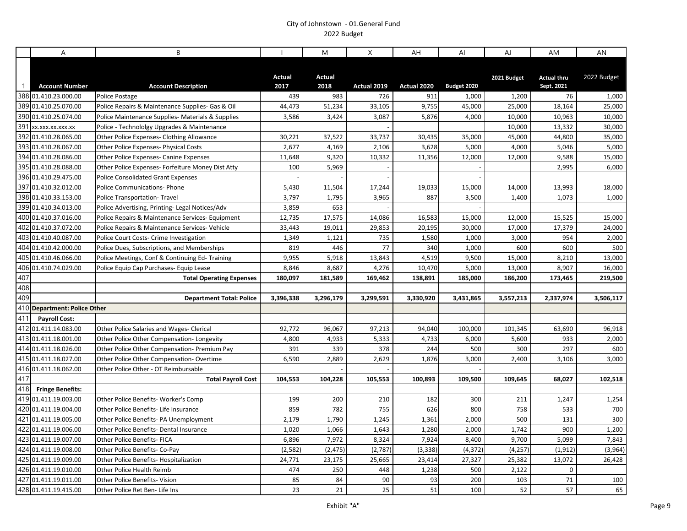|                 | A                            | B                                                 |                | M              | X           | AH          | Al          | AJ          | AM                               | AN          |
|-----------------|------------------------------|---------------------------------------------------|----------------|----------------|-------------|-------------|-------------|-------------|----------------------------------|-------------|
| $\overline{1}$  | <b>Account Number</b>        | <b>Account Description</b>                        | Actual<br>2017 | Actual<br>2018 | Actual 2019 | Actual 2020 | Budget 2020 | 2021 Budget | <b>Actual thru</b><br>Sept. 2021 | 2022 Budget |
|                 | 388 01.410.23.000.00         | Police Postage                                    | 439            | 983            | 726         | 911         | 1,000       | 1,200       | 76                               | 1,000       |
|                 | 389 01.410.25.070.00         | Police Repairs & Maintenance Supplies- Gas & Oil  | 44,473         | 51,234         | 33,105      | 9,755       | 45,000      | 25,000      | 18,164                           | 25,000      |
|                 | 390 01.410.25.074.00         | Police Maintenance Supplies- Materials & Supplies | 3,586          | 3,424          | 3,087       | 5,876       | 4,000       | 10,000      | 10,963                           | 10,000      |
| 391             | XX.XXX.XX.XXX.XX             | Police - Technololgy Upgrades & Maintenance       |                |                |             |             |             | 10,000      | 13,332                           | 30,000      |
|                 | 392 01.410.28.065.00         | Other Police Expenses- Clothing Allowance         | 30,221         | 37,522         | 33,737      | 30,435      | 35,000      | 45,000      | 44,800                           | 35,000      |
|                 | 393 01.410.28.067.00         | Other Police Expenses- Physical Costs             | 2,677          | 4,169          | 2,106       | 3,628       | 5,000       | 4,000       | 5,046                            | 5,000       |
|                 | 394 01.410.28.086.00         | <b>Other Police Expenses- Canine Expenses</b>     | 11,648         | 9,320          | 10,332      | 11,356      | 12,000      | 12,000      | 9,588                            | 15,000      |
|                 | 395 01.410.28.088.00         | Other Police Expenses- Forfeiture Money Dist Atty | 100            | 5,969          |             |             |             |             | 2,995                            | 6,000       |
|                 | 396 01.410.29.475.00         | <b>Police Consolidated Grant Expenses</b>         |                |                |             |             |             |             |                                  |             |
|                 | 397 01.410.32.012.00         | <b>Police Communications- Phone</b>               | 5,430          | 11,504         | 17,244      | 19,033      | 15,000      | 14,000      | 13,993                           | 18,000      |
|                 | 398 01.410.33.153.00         | <b>Police Transportation- Travel</b>              | 3,797          | 1,795          | 3,965       | 887         | 3,500       | 1,400       | 1,073                            | 1,000       |
|                 | 399 01.410.34.013.00         | Police Advertising, Printing-Legal Notices/Adv    | 3,859          | 653            |             |             |             |             |                                  |             |
|                 | 400 01.410.37.016.00         | Police Repairs & Maintenance Services- Equipment  | 12,735         | 17,575         | 14,086      | 16,583      | 15,000      | 12,000      | 15,525                           | 15,000      |
|                 | 402 01.410.37.072.00         | Police Repairs & Maintenance Services- Vehicle    | 33,443         | 19,011         | 29,853      | 20,195      | 30,000      | 17,000      | 17,379                           | 24,000      |
|                 | 403 01.410.40.087.00         | Police Court Costs- Crime Investigation           | 1,349          | 1,121          | 735         | 1,580       | 1,000       | 3,000       | 954                              | 2,000       |
| 404             | 01.410.42.000.00             | Police Dues, Subscriptions, and Memberships       | 819            | 446            | 77          | 340         | 1,000       | 600         | 600                              | 500         |
|                 | 405 01.410.46.066.00         | Police Meetings, Conf & Continuing Ed-Training    | 9,955          | 5,918          | 13,843      | 4,519       | 9,500       | 15,000      | 8,210                            | 13,000      |
|                 | 406 01.410.74.029.00         | Police Equip Cap Purchases- Equip Lease           | 8,846          | 8,687          | 4,276       | 10,470      | 5,000       | 13,000      | 8,907                            | 16,000      |
| $\frac{1}{407}$ |                              | <b>Total Operating Expenses</b>                   | 180,097        | 181,589        | 169,462     | 138,891     | 185,000     | 186,200     | 173,465                          | 219,500     |
| 408             |                              |                                                   |                |                |             |             |             |             |                                  |             |
| 409             |                              | <b>Department Total: Police</b>                   | 3,396,338      | 3,296,179      | 3,299,591   | 3,330,920   | 3,431,865   | 3,557,213   | 2,337,974                        | 3,506,117   |
|                 | 410 Department: Police Other |                                                   |                |                |             |             |             |             |                                  |             |
| 411             | <b>Payroll Cost:</b>         |                                                   |                |                |             |             |             |             |                                  |             |
|                 | 412 01.411.14.083.00         | Other Police Salaries and Wages- Clerical         | 92,772         | 96,067         | 97,213      | 94,040      | 100,000     | 101,345     | 63,690                           | 96,918      |
|                 | 413 01.411.18.001.00         | Other Police Other Compensation-Longevity         | 4,800          | 4,933          | 5,333       | 4,733       | 6,000       | 5,600       | 933                              | 2,000       |
|                 | 414 01.411.18.026.00         | Other Police Other Compensation- Premium Pay      | 391            | 339            | 378         | 244         | 500         | 300         | 297                              | 600         |
|                 | 415 01.411.18.027.00         | Other Police Other Compensation-Overtime          | 6,590          | 2,889          | 2,629       | 1,876       | 3,000       | 2,400       | 3,106                            | 3,000       |
|                 | 416 01.411.18.062.00         | Other Police Other - OT Reimbursable              |                |                |             |             |             |             |                                  |             |
| 417<br>418      |                              | <b>Total Payroll Cost</b>                         | 104,553        | 104,228        | 105,553     | 100,893     | 109,500     | 109,645     | 68,027                           | 102,518     |
|                 | <b>Fringe Benefits:</b>      |                                                   |                |                |             |             |             |             |                                  |             |
|                 | 419 01.411.19.003.00         | Other Police Benefits- Worker's Comp              | 199            | 200            | 210         | 182         | 300         | 211         | 1,247                            | 1,254       |
|                 | 420 01.411.19.004.00         | Other Police Benefits- Life Insurance             | 859            | 782            | 755         | 626         | 800         | 758         | 533                              | 700         |
| $\sqrt{421}$    | 01.411.19.005.00             | Other Police Benefits- PA Unemployment            | 2,179          | 1,790          | 1,245       | 1,361       | 2,000       | 500         | 131                              | 300         |
|                 | 422 01.411.19.006.00         | Other Police Benefits-Dental Insurance            | 1,020          | 1,066          | 1,643       | 1,280       | 2,000       | 1,742       | 900                              | 1,200       |
|                 | 423 01.411.19.007.00         | <b>Other Police Benefits- FICA</b>                | 6,896          | 7,972          | 8,324       | 7,924       | 8,400       | 9,700       | 5,099                            | 7,843       |
|                 | 424 01.411.19.008.00         | Other Police Benefits- Co-Pay                     | (2, 582)       | (2, 475)       | (2,787)     | (3, 338)    | (4, 372)    | (4, 257)    | (1, 912)                         | (3,964)     |
|                 | 425 01.411.19.009.00         | Other Police Benefits- Hospitalization            | 24,771         | 23,175         | 25,665      | 23,414      | 27,327      | 25,382      | 13,072                           | 26,428      |
|                 | 426 01.411.19.010.00         | Other Police Health Reimb                         | 474            | 250            | 448         | 1,238       | 500         | 2,122       | $\mathbf 0$                      |             |
| 427             | 01.411.19.011.00             | <b>Other Police Benefits- Vision</b>              | 85             | 84             | 90          | 93          | 200         | 103         | 71                               | 100         |
|                 | 428 01.411.19.415.00         | Other Police Ret Ben- Life Ins                    | 23             | 21             | 25          | 51          | 100         | 52          | 57                               | 65          |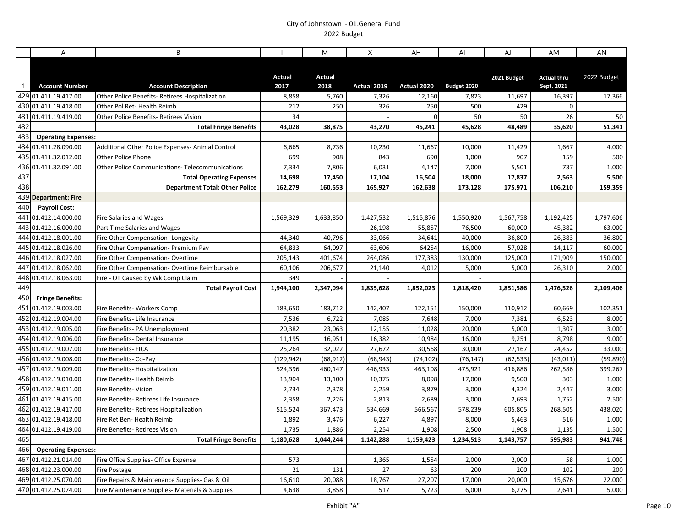|                | A                          | B                                               |            | M         | X           | AH          | AI          | AJ          | AM                 | AN          |
|----------------|----------------------------|-------------------------------------------------|------------|-----------|-------------|-------------|-------------|-------------|--------------------|-------------|
|                |                            |                                                 |            |           |             |             |             |             |                    |             |
|                |                            |                                                 | Actual     | Actual    |             |             |             | 2021 Budget | <b>Actual thru</b> | 2022 Budget |
| $\overline{1}$ | <b>Account Number</b>      | <b>Account Description</b>                      | 2017       | 2018      | Actual 2019 | Actual 2020 | Budget 2020 |             | Sept. 2021         |             |
|                | 429 01.411.19.417.00       | Other Police Benefits- Retirees Hospitalization | 8,858      | 5,760     | 7,326       | 12,160      | 7,823       | 11,697      | 16,397             | 17,366      |
|                | 430 01.411.19.418.00       | Other Pol Ret-Health Reimb                      | 212        | 250       | 326         | 250         | 500         | 429         | $\mathbf 0$        |             |
| 431            | 01.411.19.419.00           | Other Police Benefits- Retirees Vision          | 34         |           |             | $\mathbf 0$ | 50          | 50          | 26                 | 50          |
| 432            |                            | <b>Total Fringe Benefits</b>                    | 43,028     | 38,875    | 43,270      | 45,241      | 45,628      | 48,489      | 35,620             | 51,341      |
| 433            | <b>Operating Expenses:</b> |                                                 |            |           |             |             |             |             |                    |             |
|                | 434 01.411.28.090.00       | Additional Other Police Expenses-Animal Control | 6,665      | 8,736     | 10,230      | 11,667      | 10,000      | 11,429      | 1,667              | 4,000       |
| 435            | 01.411.32.012.00           | <b>Other Police Phone</b>                       | 699        | 908       | 843         | 690         | 1,000       | 907         | 159                | 500         |
|                | 436 01.411.32.091.00       | Other Police Communications- Telecommunications | 7,334      | 7,806     | 6,031       | 4,147       | 7,000       | 5,501       | 737                | 1,000       |
| 437            |                            | <b>Total Operating Expenses</b>                 | 14,698     | 17,450    | 17,104      | 16,504      | 18,000      | 17,837      | 2,563              | 5,500       |
| 438            |                            | <b>Department Total: Other Police</b>           | 162,279    | 160,553   | 165,927     | 162,638     | 173,128     | 175,971     | 106,210            | 159,359     |
|                | 439 Department: Fire       |                                                 |            |           |             |             |             |             |                    |             |
| 440            | <b>Payroll Cost:</b>       |                                                 |            |           |             |             |             |             |                    |             |
| 441            | 01.412.14.000.00           | <b>Fire Salaries and Wages</b>                  | 1,569,329  | 1,633,850 | 1,427,532   | 1,515,876   | 1,550,920   | 1,567,758   | 1,192,425          | 1,797,606   |
|                | 443 01.412.16.000.00       | Part Time Salaries and Wages                    |            |           | 26,198      | 55,857      | 76,500      | 60,000      | 45,382             | 63,000      |
|                | 444 01.412.18.001.00       | Fire Other Compensation- Longevity              | 44,340     | 40,796    | 33,066      | 34,641      | 40,000      | 36,800      | 26,383             | 36,800      |
| 445            | 01.412.18.026.00           | Fire Other Compensation- Premium Pay            | 64,833     | 64,097    | 63,606      | 64254       | 16,000      | 57,028      | 14,117             | 60,000      |
|                | 446 01.412.18.027.00       | Fire Other Compensation-Overtime                | 205,143    | 401,674   | 264,086     | 177,383     | 130,000     | 125,000     | 171,909            | 150,000     |
|                | 447 01.412.18.062.00       | Fire Other Compensation- Overtime Reimbursable  | 60,106     | 206,677   | 21,140      | 4,012       | 5,000       | 5,000       | 26,310             | 2,000       |
|                | 448 01.412.18.063.00       | Fire - OT Caused by Wk Comp Claim               | 349        |           |             |             |             |             |                    |             |
| 449            |                            | <b>Total Payroll Cost</b>                       | 1,944,100  | 2,347,094 | 1,835,628   | 1,852,023   | 1,818,420   | 1,851,586   | 1,476,526          | 2,109,406   |
| 450            | <b>Fringe Benefits:</b>    |                                                 |            |           |             |             |             |             |                    |             |
|                | 451 01.412.19.003.00       | Fire Benefits- Workers Comp                     | 183,650    | 183,712   | 142,407     | 122,151     | 150,000     | 110,912     | 60,669             | 102,351     |
|                | 452 01.412.19.004.00       | Fire Benefits- Life Insurance                   | 7,536      | 6,722     | 7,085       | 7,648       | 7,000       | 7,381       | 6,523              | 8,000       |
|                | 453 01.412.19.005.00       | Fire Benefits- PA Unemployment                  | 20,382     | 23,063    | 12,155      | 11,028      | 20,000      | 5,000       | 1,307              | 3,000       |
|                | 454 01.412.19.006.00       | Fire Benefits- Dental Insurance                 | 11,195     | 16,951    | 16,382      | 10,984      | 16,000      | 9,251       | 8,798              | 9,000       |
|                | 455 01.412.19.007.00       | Fire Benefits- FICA                             | 25,264     | 32,022    | 27,672      | 30,568      | 30,000      | 27,167      | 24,452             | 33,000      |
|                | 456 01.412.19.008.00       | Fire Benefits- Co-Pay                           | (129, 942) | (68, 912) | (68, 943)   | (74, 102)   | (76, 147)   | (62, 533)   | (43, 011)          | (59, 890)   |
|                | 457 01.412.19.009.00       | Fire Benefits- Hospitalization                  | 524,396    | 460,147   | 446,933     | 463,108     | 475,921     | 416,886     | 262,586            | 399,267     |
|                | 458 01.412.19.010.00       | Fire Benefits- Health Reimb                     | 13,904     | 13,100    | 10,375      | 8,098       | 17,000      | 9,500       | 303                | 1,000       |
|                | 459 01.412.19.011.00       | Fire Benefits- Vision                           | 2,734      | 2,378     | 2,259       | 3,879       | 3,000       | 4,324       | 2,447              | 3,000       |
|                | 461 01.412.19.415.00       | Fire Benefits- Retirees Life Insurance          | 2,358      | 2,226     | 2,813       | 2,689       | 3,000       | 2,693       | 1,752              | 2,500       |
|                | 462 01.412.19.417.00       | Fire Benefits-Retirees Hospitalization          | 515,524    | 367,473   | 534,669     | 566,567     | 578,239     | 605,805     | 268,505            | 438,020     |
| 463            | 01.412.19.418.00           | Fire Ret Ben- Health Reimb                      | 1,892      | 3,476     | 6,227       | 4,897       | 8,000       | 5,463       | 516                | 1,000       |
|                | 464 01.412.19.419.00       | Fire Benefits- Retirees Vision                  | 1,735      | 1,886     | 2,254       | 1,908       | 2,500       | 1,908       | 1,135              | 1,500       |
| 465            |                            | <b>Total Fringe Benefits</b>                    | 1,180,628  | 1,044,244 | 1,142,288   | 1,159,423   | 1,234,513   | 1,143,757   | 595,983            | 941,748     |
| 466            | <b>Operating Expenses:</b> |                                                 |            |           |             |             |             |             |                    |             |
| 467            | 01.412.21.014.00           | Fire Office Supplies- Office Expense            | 573        |           | 1,365       | 1,554       | 2,000       | 2,000       | 58                 | 1,000       |
|                | 468 01.412.23.000.00       | <b>Fire Postage</b>                             | 21         | 131       | 27          | 63          | 200         | 200         | 102                | 200         |
|                | 469 01.412.25.070.00       | Fire Repairs & Maintenance Supplies- Gas & Oil  | 16,610     | 20,088    | 18,767      | 27,207      | 17,000      | 20,000      | 15,676             | 22,000      |
|                | 470 01.412.25.074.00       | Fire Maintenance Supplies- Materials & Supplies | 4,638      | 3,858     | 517         | 5,723       | 6,000       | 6,275       | 2,641              | 5,000       |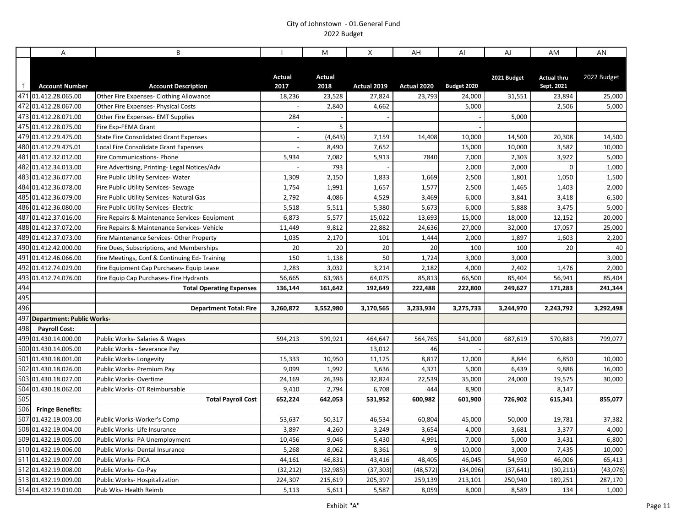|              | A                                               | B                                              |                  | M              | X           | AH             | Al               | AJ          | AM                               | AN          |
|--------------|-------------------------------------------------|------------------------------------------------|------------------|----------------|-------------|----------------|------------------|-------------|----------------------------------|-------------|
| $\mathbf{1}$ | <b>Account Number</b>                           | <b>Account Description</b>                     | Actual<br>2017   | Actual<br>2018 | Actual 2019 | Actual 2020    | Budget 2020      | 2021 Budget | <b>Actual thru</b><br>Sept. 2021 | 2022 Budget |
|              | 471 01.412.28.065.00                            | Other Fire Expenses- Clothing Allowance        | 18,236           | 23,528         | 27,824      | 23,793         | 24,000           | 31,551      | 23,894                           | 25,000      |
|              | 472 01.412.28.067.00                            | Other Fire Expenses- Physical Costs            |                  | 2,840          | 4,662       |                | 5,000            |             | 2,506                            | 5,000       |
|              | 473 01.412.28.071.00                            | Other Fire Expenses- EMT Supplies              | 284              |                |             |                |                  | 5,000       |                                  |             |
|              | 475 01.412.28.075.00                            | Fire Exp-FEMA Grant                            |                  | 5              |             |                |                  |             |                                  |             |
|              | 479 01.412.29.475.00                            | <b>State Fire Consolidated Grant Expenses</b>  |                  | (4, 643)       | 7,159       | 14,408         | 10,000           | 14,500      | 20,308                           | 14,500      |
|              | 480 01.412.29.475.01                            | Local Fire Consolidate Grant Expenses          |                  | 8,490          | 7,652       |                | 15,000           | 10,000      | 3,582                            | 10,000      |
|              | 481 01.412.32.012.00                            | <b>Fire Communications- Phone</b>              | 5,934            | 7,082          | 5,913       | 7840           | 7,000            | 2,303       | 3,922                            | 5,000       |
|              | 482 01.412.34.013.00                            | Fire Advertising, Printing- Legal Notices/Adv  |                  | 793            |             |                | 2,000            | 2,000       | $\mathsf 0$                      | 1,000       |
|              | 483 01.412.36.077.00                            | Fire Public Utility Services- Water            | 1,309            | 2,150          | 1,833       | 1,669          | 2,500            | 1,801       | 1,050                            | 1,500       |
|              | 484 01.412.36.078.00                            | Fire Public Utility Services- Sewage           | 1,754            | 1,991          | 1,657       | 1,577          | 2,500            | 1,465       | 1,403                            | 2,000       |
|              | 485 01.412.36.079.00                            | Fire Public Utility Services- Natural Gas      | 2,792            | 4,086          | 4,529       | 3,469          | 6,000            | 3,841       | 3,418                            | 6,500       |
|              | 486 01.412.36.080.00                            | Fire Public Utility Services- Electric         | 5,518            | 5,511          | 5,380       | 5,673          | 6,000            | 5,888       | 3,475                            | 5,000       |
|              | 487 01.412.37.016.00                            | Fire Repairs & Maintenance Services- Equipment | 6,873            | 5,577          | 15,022      | 13,693         | 15,000           | 18,000      | 12,152                           | 20,000      |
|              | 488 01.412.37.072.00                            | Fire Repairs & Maintenance Services- Vehicle   | 11,449           | 9,812          | 22,882      | 24,636         | 27,000           | 32,000      | 17,057                           | 25,000      |
|              | 489 01.412.37.073.00                            | Fire Maintenance Services-Other Property       | 1,035            | 2,170          | 101         | 1,444          | 2,000            | 1,897       | 1,603                            | 2,200       |
|              | 490 01.412.42.000.00                            | Fire Dues, Subscriptions, and Memberships      | 20               | 20             | 20          | 20             | 100              | 100         | 20                               | 40          |
|              | 491 01.412.46.066.00                            | Fire Meetings, Conf & Continuing Ed-Training   | 150              | 1,138          | 50          | 1,724          | 3,000            | 3,000       |                                  | 3,000       |
|              | 492 01.412.74.029.00                            | Fire Equipment Cap Purchases- Equip Lease      | 2,283            | 3,032          | 3,214       | 2,182          | 4,000            | 2,402       | 1,476                            | 2,000       |
|              | 493 01.412.74.076.00                            | Fire Equip Cap Purchases- Fire Hydrants        | 56,665           | 63,983         | 64,075      | 85,813         | 66,500           | 85,404      | 56,941                           | 85,404      |
| 494          |                                                 | <b>Total Operating Expenses</b>                | 136,144          | 161,642        | 192,649     | 222,488        | 222,800          | 249,627     | 171,283                          | 241,344     |
| 495          |                                                 |                                                |                  |                |             |                |                  |             |                                  |             |
| 496          |                                                 | <b>Department Total: Fire</b>                  | 3,260,872        | 3,552,980      | 3,170,565   | 3,233,934      | 3,275,733        | 3,244,970   | 2,243,792                        | 3,292,498   |
|              | 497 Department: Public Works-                   |                                                |                  |                |             |                |                  |             |                                  |             |
| 498          | <b>Payroll Cost:</b>                            |                                                |                  |                |             |                |                  |             |                                  |             |
|              | 499 01.430.14.000.00                            | Public Works- Salaries & Wages                 | 594,213          | 599,921        | 464,647     | 564,765        | 541,000          | 687,619     | 570,883                          | 799,077     |
|              | 500 01.430.14.005.00                            | Public Works - Severance Pay                   |                  |                | 13,012      | 46             |                  |             |                                  |             |
|              | 501 01.430.18.001.00<br>502 01.430.18.026.00    | Public Works-Longevity                         | 15,333           | 10,950         | 11,125      | 8,817          | 12,000           | 8,844       | 6,850                            | 10,000      |
|              |                                                 | Public Works- Premium Pay                      | 9,099            | 1,992          | 3,636       | 4,371          | 5,000            | 6,439       | 9,886                            | 16,000      |
|              | 503 01.430.18.027.00<br>504 01.430.18.062.00    | Public Works-Overtime                          | 24,169           | 26,396         | 32,824      | 22,539         | 35,000           | 24,000      | 19,575                           | 30,000      |
| 505          |                                                 | Public Works- OT Reimbursable                  | 9,410<br>652,224 | 2,794          | 6,708       | 444<br>600,982 | 8,900<br>601,900 | 726,902     | 8,147                            |             |
|              |                                                 | <b>Total Payroll Cost</b>                      |                  | 642,053        | 531,952     |                |                  |             | 615,341                          | 855,077     |
| 506          | <b>Fringe Benefits:</b><br>507 01.432.19.003.00 |                                                |                  |                |             |                |                  |             |                                  |             |
|              |                                                 | Public Works-Worker's Comp                     | 53,637           | 50,317         | 46,534      | 60,804         | 45,000           | 50,000      | 19,781                           | 37,382      |
|              | 508 01.432.19.004.00                            | Public Works- Life Insurance                   | 3,897            | 4,260          | 3,249       | 3,654          | 4,000            | 3,681       | 3,377                            | 4,000       |
|              | 509 01.432.19.005.00                            | Public Works- PA Unemployment                  | 10,456           | 9,046          | 5,430       | 4,991          | 7,000            | 5,000       | 3,431                            | 6,800       |
|              | 510 01.432.19.006.00                            | Public Works- Dental Insurance                 | 5,268            | 8,062          | 8,361       | 9              | 10,000           | 3,000       | 7,435                            | 10,000      |
|              | 511 01.432.19.007.00<br>512 01.432.19.008.00    | Public Works- FICA                             | 44,161           | 46,831         | 43,416      | 48,405         | 46,045           | 54,950      | 46,006                           | 65,413      |
|              | 513 01.432.19.009.00                            | Public Works- Co-Pay                           | (32, 212)        | (32, 985)      | (37, 303)   | (48, 572)      | (34,096)         | (37, 641)   | (30, 211)                        | (43, 076)   |
|              |                                                 | Public Works- Hospitalization                  | 224,307          | 215,619        | 205,397     | 259,139        | 213,101          | 250,940     | 189,251                          | 287,170     |
|              | 514 01.432.19.010.00                            | Pub Wks- Health Reimb                          | 5,113            | 5,611          | 5,587       | 8,059          | 8,000            | 8,589       | 134                              | 1,000       |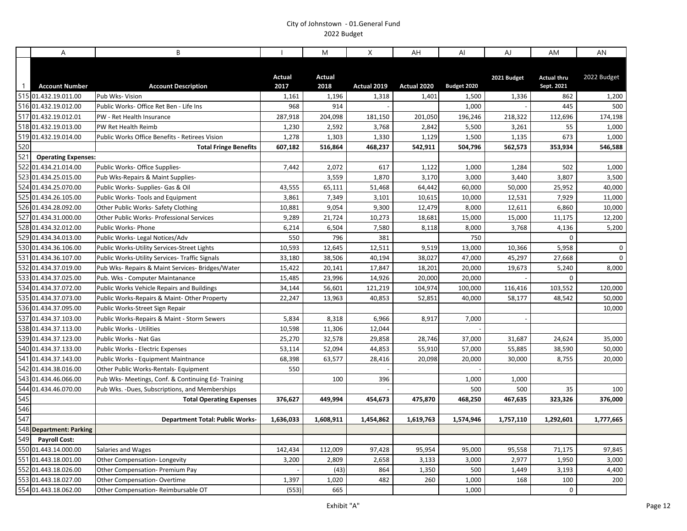|              | A                          | B                                                     |                       | M                     | X           | AH          | AI          | AJ          | AM                               | AN          |
|--------------|----------------------------|-------------------------------------------------------|-----------------------|-----------------------|-------------|-------------|-------------|-------------|----------------------------------|-------------|
| $\mathbf{1}$ | <b>Account Number</b>      | <b>Account Description</b>                            | <b>Actual</b><br>2017 | <b>Actual</b><br>2018 | Actual 2019 | Actual 2020 | Budget 2020 | 2021 Budget | <b>Actual thru</b><br>Sept. 2021 | 2022 Budget |
|              | 515 01.432.19.011.00       | Pub Wks- Vision                                       | 1,161                 | 1,196                 | 1,318       | 1,401       | 1,500       | 1,336       | 862                              | 1,200       |
|              | 516 01.432.19.012.00       | Public Works- Office Ret Ben - Life Ins               | 968                   | 914                   |             |             | 1,000       |             | 445                              | 500         |
|              | 517 01.432.19.012.01       | PW - Ret Health Insurance                             | 287,918               | 204,098               | 181,150     | 201,050     | 196,246     | 218,322     | 112,696                          | 174,198     |
|              | 518 01.432.19.013.00       | PW Ret Health Reimb                                   | 1,230                 | 2,592                 | 3,768       | 2,842       | 5,500       | 3,261       | 55                               | 1,000       |
|              | 519 01.432.19.014.00       | Public Works Office Benefits - Retirees Vision        | 1,278                 | 1,303                 | 1,330       | 1,129       | 1,500       | 1,135       | 673                              | 1,000       |
| 520          |                            | <b>Total Fringe Benefits</b>                          | 607,182               | 516,864               | 468,237     | 542,911     | 504,796     | 562,573     | 353,934                          | 546,588     |
| 521          | <b>Operating Expenses:</b> |                                                       |                       |                       |             |             |             |             |                                  |             |
|              | 522 01.434.21.014.00       | Public Works- Office Supplies-                        | 7,442                 | 2,072                 | 617         | 1,122       | 1,000       | 1,284       | 502                              | 1,000       |
|              | 523 01.434.25.015.00       | Pub Wks-Repairs & Maint Supplies-                     |                       | 3,559                 | 1,870       | 3,170       | 3,000       | 3,440       | 3,807                            | 3,500       |
|              | 524 01.434.25.070.00       | Public Works- Supplies- Gas & Oil                     | 43,555                | 65,111                | 51,468      | 64,442      | 60,000      | 50,000      | 25,952                           | 40,000      |
|              | 525 01.434.26.105.00       | Public Works- Tools and Equipment                     | 3,861                 | 7,349                 | 3,101       | 10,615      | 10,000      | 12,531      | 7,929                            | 11,000      |
|              | 526 01.434.28.092.00       | <b>Other Public Works- Safety Clothing</b>            | 10,881                | 9,054                 | 9,300       | 12,479      | 8,000       | 12,611      | 6,860                            | 10,000      |
|              | 527 01.434.31.000.00       | Other Public Works- Professional Services             | 9,289                 | 21,724                | 10,273      | 18,681      | 15,000      | 15,000      | 11,175                           | 12,200      |
|              | 528 01.434.32.012.00       | Public Works- Phone                                   | 6,214                 | 6,504                 | 7,580       | 8,118       | 8,000       | 3,768       | 4,136                            | 5,200       |
|              | 529 01.434.34.013.00       | Public Works- Legal Notices/Adv                       | 550                   | 796                   | 381         |             | 750         |             | $\Omega$                         |             |
|              | 530 01.434.36.106.00       | Public Works-Utility Services-Street Lights           | 10,593                | 12,645                | 12,511      | 9,519       | 13,000      | 10,366      | 5,958                            | $\mathsf 0$ |
|              | 531 01.434.36.107.00       | <b>Public Works-Utility Services- Traffic Signals</b> | 33,180                | 38,506                | 40,194      | 38,027      | 47,000      | 45,297      | 27,668                           | 0           |
|              | 532 01.434.37.019.00       | Pub Wks- Repairs & Maint Services- Bridges/Water      | 15,422                | 20,141                | 17,847      | 18,201      | 20,000      | 19,673      | 5,240                            | 8,000       |
|              | 533 01.434.37.025.00       | Pub. Wks - Computer Maintanance                       | 15,485                | 23,996                | 14,926      | 20,000      | 20,000      |             | $\Omega$                         |             |
|              | 534 01.434.37.072.00       | <b>Public Works Vehicle Repairs and Buildings</b>     | 34,144                | 56,601                | 121,219     | 104,974     | 100,000     | 116,416     | 103,552                          | 120,000     |
|              | 535 01.434.37.073.00       | Public Works-Repairs & Maint-Other Property           | 22,247                | 13,963                | 40,853      | 52,851      | 40,000      | 58,177      | 48,542                           | 50,000      |
|              | 536 01.434.37.095.00       | Public Works-Street Sign Repair                       |                       |                       |             |             |             |             |                                  | 10,000      |
|              | 537 01.434.37.103.00       | Public Works-Repairs & Maint - Storm Sewers           | 5,834                 | 8,318                 | 6,966       | 8,917       | 7,000       |             |                                  |             |
|              | 538 01.434.37.113.00       | <b>Public Works - Utilities</b>                       | 10,598                | 11,306                | 12,044      |             |             |             |                                  |             |
|              | 539 01.434.37.123.00       | Public Works - Nat Gas                                | 25,270                | 32,578                | 29,858      | 28,746      | 37,000      | 31,687      | 24,624                           | 35,000      |
|              | 540 01.434.37.133.00       | Public Works - Electric Expenses                      | 53,114                | 52,094                | 44,853      | 55,910      | 57,000      | 55,885      | 38,590                           | 50,000      |
|              | 541 01.434.37.143.00       | Public Works - Equipment Maintnance                   | 68,398                | 63,577                | 28,416      | 20,098      | 20,000      | 30,000      | 8,755                            | 20,000      |
|              | 542 01.434.38.016.00       | Other Public Works-Rentals- Equipment                 | 550                   |                       |             |             |             |             |                                  |             |
|              | 543 01.434.46.066.00       | Pub Wks- Meetings, Conf. & Continuing Ed-Training     |                       | 100                   | 396         |             | 1,000       | 1,000       |                                  |             |
|              | 544 01.434.46.070.00       | Pub Wks. -Dues, Subscriptions, and Memberships        |                       |                       |             |             | 500         | 500         | 35                               | 100         |
| 545          |                            | <b>Total Operating Expenses</b>                       | 376,627               | 449,994               | 454,673     | 475,870     | 468,250     | 467,635     | 323,326                          | 376,000     |
| 546          |                            |                                                       |                       |                       |             |             |             |             |                                  |             |
| 547          |                            | <b>Department Total: Public Works-</b>                | 1,636,033             | 1,608,911             | 1,454,862   | 1,619,763   | 1,574,946   | 1,757,110   | 1,292,601                        | 1,777,665   |
|              | 548 Department: Parking    |                                                       |                       |                       |             |             |             |             |                                  |             |
| 549          | <b>Payroll Cost:</b>       |                                                       |                       |                       |             |             |             |             |                                  |             |
|              | 550 01.443.14.000.00       | Salaries and Wages                                    | 142,434               | 112,009               | 97,428      | 95,954      | 95,000      | 95,558      | 71,175                           | 97,845      |
|              | 551 01.443.18.001.00       | Other Compensation-Longevity                          | 3,200                 | 2,809                 | 2,658       | 3,133       | 3,000       | 2,977       | 1,950                            | 3,000       |
|              | 552 01.443.18.026.00       | Other Compensation- Premium Pay                       |                       | (43)                  | 864         | 1,350       | 500         | 1,449       | 3,193                            | 4,400       |
|              | 553 01.443.18.027.00       | Other Compensation-Overtime                           | 1,397                 | 1,020                 | 482         | 260         | 1,000       | 168         | 100                              | 200         |
|              | 554 01.443.18.062.00       | Other Compensation-Reimbursable OT                    | (553)                 | 665                   |             |             | 1,000       |             | $\mathbf 0$                      |             |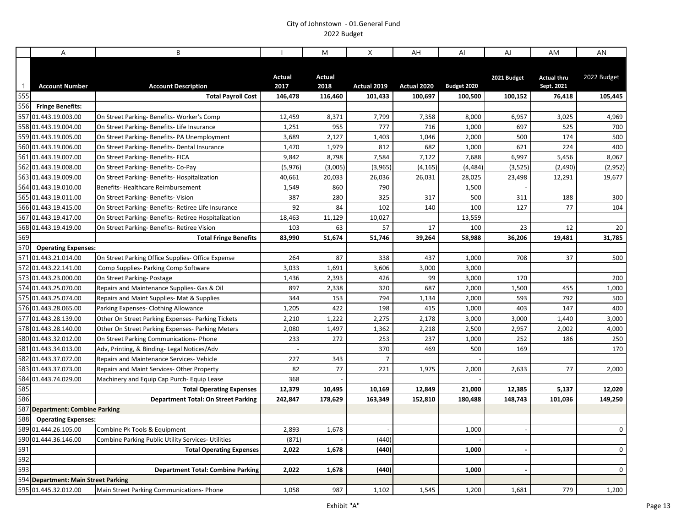|                | A                                   | B                                                   |                       | M                     | X              | AH          | Al          | AJ          | AM                               | AN          |
|----------------|-------------------------------------|-----------------------------------------------------|-----------------------|-----------------------|----------------|-------------|-------------|-------------|----------------------------------|-------------|
| $\overline{1}$ | <b>Account Number</b>               | <b>Account Description</b>                          | <b>Actual</b><br>2017 | <b>Actual</b><br>2018 | Actual 2019    | Actual 2020 | Budget 2020 | 2021 Budget | <b>Actual thru</b><br>Sept. 2021 | 2022 Budget |
| 555            |                                     | <b>Total Payroll Cost</b>                           | 146,478               | 116,460               | 101,433        | 100,697     | 100,500     | 100,152     | 76,418                           | 105,445     |
| 556            | <b>Fringe Benefits:</b>             |                                                     |                       |                       |                |             |             |             |                                  |             |
|                | 557 01.443.19.003.00                | On Street Parking- Benefits- Worker's Comp          | 12,459                | 8,371                 | 7,799          | 7,358       | 8,000       | 6,957       | 3,025                            | 4,969       |
|                | 558 01.443.19.004.00                | On Street Parking- Benefits- Life Insurance         | 1,251                 | 955                   | 777            | 716         | 1,000       | 697         | 525                              | 700         |
|                | 559 01.443.19.005.00                | On Street Parking- Benefits- PA Unemployment        | 3,689                 | 2,127                 | 1,403          | 1,046       | 2,000       | 500         | 174                              | 500         |
|                | 560 01.443.19.006.00                | On Street Parking- Benefits- Dental Insurance       | 1,470                 | 1,979                 | 812            | 682         | 1,000       | 621         | 224                              | 400         |
|                | 561 01.443.19.007.00                | On Street Parking- Benefits- FICA                   | 9,842                 | 8,798                 | 7,584          | 7,122       | 7,688       | 6,997       | 5,456                            | 8,067       |
|                | 562 01.443.19.008.00                | On Street Parking- Benefits- Co-Pay                 | (5,976)               | (3,005)               | (3,965)        | (4, 165)    | (4, 484)    | (3, 525)    | (2,490)                          | (2,952)     |
|                | 563 01.443.19.009.00                | On Street Parking- Benefits- Hospitalization        | 40,661                | 20,033                | 26,036         | 26,031      | 28,025      | 23,498      | 12,291                           | 19,677      |
|                | 564 01.443.19.010.00                | Benefits-Healthcare Reimbursement                   | 1,549                 | 860                   | 790            |             | 1,500       |             |                                  |             |
|                | 565 01.443.19.011.00                | On Street Parking- Benefits- Vision                 | 387                   | 280                   | 325            | 317         | 500         | 311         | 188                              | 300         |
|                | 566 01.443.19.415.00                | On Street Parking- Benefits- Retiree Life Insurance | 92                    | 84                    | 102            | 140         | 100         | 127         | 77                               | 104         |
|                | 567 01.443.19.417.00                | On Street Parking-Benefits-Retiree Hospitalization  | 18,463                | 11,129                | 10,027         |             | 13,559      |             |                                  |             |
|                | 568 01.443.19.419.00                | On Street Parking- Benefits- Retiree Vision         | 103                   | 63                    | 57             | 17          | 100         | 23          | 12                               | 20          |
| 569            |                                     | <b>Total Fringe Benefits</b>                        | 83,990                | 51,674                | 51,746         | 39,264      | 58,988      | 36,206      | 19,481                           | 31,785      |
| 570            | <b>Operating Expenses:</b>          |                                                     |                       |                       |                |             |             |             |                                  |             |
|                | 571 01.443.21.014.00                | On Street Parking Office Supplies- Office Expense   | 264                   | 87                    | 338            | 437         | 1,000       | 708         | 37                               | 500         |
|                | 572 01.443.22.141.00                | Comp Supplies- Parking Comp Software                | 3,033                 | 1,691                 | 3,606          | 3,000       | 3,000       |             |                                  |             |
|                | 573 01.443.23.000.00                | On Street Parking- Postage                          | 1,436                 | 2,393                 | 426            | 99          | 3,000       | 170         |                                  | 200         |
|                | 574 01.443.25.070.00                | Repairs and Maintenance Supplies- Gas & Oil         | 897                   | 2,338                 | 320            | 687         | 2,000       | 1,500       | 455                              | 1,000       |
|                | 575 01.443.25.074.00                | Repairs and Maint Supplies- Mat & Supplies          | 344                   | 153                   | 794            | 1,134       | 2,000       | 593         | 792                              | 500         |
|                | 576 01.443.28.065.00                | Parking Expenses- Clothing Allowance                | 1,205                 | 422                   | 198            | 415         | 1,000       | 403         | 147                              | 400         |
|                | 577 01.443.28.139.00                | Other On Street Parking Expenses- Parking Tickets   | 2,210                 | 1,222                 | 2,275          | 2,178       | 3,000       | 3,000       | 1,440                            | 3,000       |
|                | 578 01.443.28.140.00                | Other On Street Parking Expenses- Parking Meters    | 2,080                 | 1,497                 | 1,362          | 2,218       | 2,500       | 2,957       | 2,002                            | 4,000       |
|                | 580 01.443.32.012.00                | On Street Parking Communications- Phone             | 233                   | 272                   | 253            | 237         | 1,000       | 252         | 186                              | 250         |
|                | 581 01.443.34.013.00                | Adv, Printing, & Binding- Legal Notices/Adv         |                       |                       | 370            | 469         | 500         | 169         |                                  | 170         |
|                | 582 01.443.37.072.00                | Repairs and Maintenance Services- Vehicle           | 227                   | 343                   | $\overline{7}$ |             |             |             |                                  |             |
|                | 583 01.443.37.073.00                | Repairs and Maint Services- Other Property          | 82                    | 77                    | 221            | 1,975       | 2,000       | 2,633       | 77                               | 2,000       |
|                | 584 01.443.74.029.00                | Machinery and Equip Cap Purch- Equip Lease          | 368                   |                       |                |             |             |             |                                  |             |
| 585            |                                     | <b>Total Operating Expenses</b>                     | 12,379                | 10,495                | 10,169         | 12,849      | 21,000      | 12,385      | 5,137                            | 12,020      |
| 586            |                                     | <b>Department Total: On Street Parking</b>          | 242,847               | 178,629               | 163,349        | 152,810     | 180,488     | 148,743     | 101,036                          | 149,250     |
|                | 587 Department: Combine Parking     |                                                     |                       |                       |                |             |             |             |                                  |             |
| 588            | <b>Operating Expenses:</b>          |                                                     |                       |                       |                |             |             |             |                                  |             |
|                | 589 01.444.26.105.00                | Combine Pk Tools & Equipment                        | 2,893                 | 1,678                 |                |             | 1,000       |             |                                  | $\mathbf 0$ |
|                | 590 01.444.36.146.00                | Combine Parking Public Utility Services- Utilities  | (871)                 |                       | (440)          |             |             |             |                                  |             |
| 591            |                                     | <b>Total Operating Expenses</b>                     | 2,022                 | 1,678                 | (440)          |             | 1.000       |             |                                  | $\mathbf 0$ |
| 592            |                                     |                                                     |                       |                       |                |             |             |             |                                  |             |
| 593            |                                     | <b>Department Total: Combine Parking</b>            | 2,022                 | 1,678                 | (440)          |             | 1,000       |             |                                  | $\Omega$    |
|                | 594 Department: Main Street Parking |                                                     |                       |                       |                |             |             |             |                                  |             |
|                | 595 01.445.32.012.00                | Main Street Parking Communications- Phone           | 1,058                 | 987                   | 1,102          | 1,545       | 1,200       | 1,681       | 779                              | 1,200       |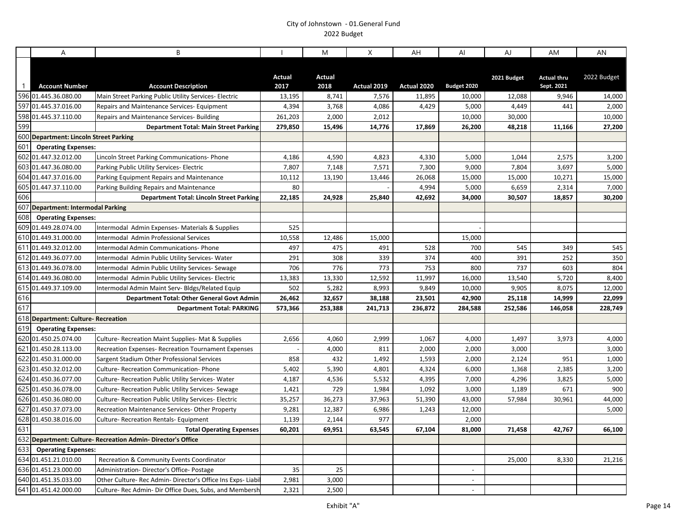|                | A                                      | B                                                            |                | M              | X           | AH          | Al                       | AJ          | AM                               | AN          |
|----------------|----------------------------------------|--------------------------------------------------------------|----------------|----------------|-------------|-------------|--------------------------|-------------|----------------------------------|-------------|
| $\overline{1}$ | <b>Account Number</b>                  | <b>Account Description</b>                                   | Actual<br>2017 | Actual<br>2018 | Actual 2019 | Actual 2020 | Budget 2020              | 2021 Budget | <b>Actual thru</b><br>Sept. 2021 | 2022 Budget |
|                | 596 01.445.36.080.00                   | Main Street Parking Public Utility Services- Electric        | 13,195         | 8,741          | 7,576       | 11,895      | 10,000                   | 12,088      | 9,946                            | 14,000      |
|                | 597 01.445.37.016.00                   | Repairs and Maintenance Services- Equipment                  | 4,394          | 3,768          | 4,086       | 4,429       | 5,000                    | 4,449       | 441                              | 2,000       |
|                | 598 01.445.37.110.00                   | Repairs and Maintenance Services- Building                   | 261,203        | 2,000          | 2,012       |             | 10,000                   | 30,000      |                                  | 10,000      |
| 599            |                                        | <b>Department Total: Main Street Parking</b>                 | 279,850        | 15,496         | 14,776      | 17,869      | 26,200                   | 48,218      | 11,166                           | 27,200      |
|                | 600 Department: Lincoln Street Parking |                                                              |                |                |             |             |                          |             |                                  |             |
| 601            | <b>Operating Expenses:</b>             |                                                              |                |                |             |             |                          |             |                                  |             |
|                | 602 01.447.32.012.00                   | Lincoln Street Parking Communications- Phone                 | 4,186          | 4,590          | 4,823       | 4,330       | 5,000                    | 1,044       | 2,575                            | 3,200       |
|                | 603 01.447.36.080.00                   | Parking Public Utility Services- Electric                    | 7,807          | 7,148          | 7,571       | 7,300       | 9,000                    | 7,804       | 3,697                            | 5,000       |
|                | 604 01.447.37.016.00                   | Parking Equipment Repairs and Maintenance                    | 10,112         | 13,190         | 13,446      | 26,068      | 15,000                   | 15,000      | 10,271                           | 15,000      |
|                | 605 01.447.37.110.00                   | Parking Building Repairs and Maintenance                     | 80             |                |             | 4,994       | 5,000                    | 6,659       | 2,314                            | 7,000       |
| 606            |                                        | <b>Department Total: Lincoln Street Parking</b>              | 22,185         | 24,928         | 25,840      | 42,692      | 34,000                   | 30,507      | 18,857                           | 30,200      |
|                | 607 Department: Intermodal Parking     |                                                              |                |                |             |             |                          |             |                                  |             |
| 608            | <b>Operating Expenses:</b>             |                                                              |                |                |             |             |                          |             |                                  |             |
|                | 609 01.449.28.074.00                   | Intermodal Admin Expenses- Materials & Supplies              | 525            |                |             |             |                          |             |                                  |             |
|                | 610 01.449.31.000.00                   | Intermodal Admin Professional Services                       | 10,558         | 12,486         | 15,000      |             | 15,000                   |             |                                  |             |
|                | 611 01.449.32.012.00                   | Intermodal Admin Communications- Phone                       | 497            | 475            | 491         | 528         | 700                      | 545         | 349                              | 545         |
|                | 612 01.449.36.077.00                   | Intermodal Admin Public Utility Services- Water              | 291            | 308            | 339         | 374         | 400                      | 391         | 252                              | 350         |
|                | 613 01.449.36.078.00                   | Intermodal Admin Public Utility Services-Sewage              | 706            | 776            | 773         | 753         | 800                      | 737         | 603                              | 804         |
|                | 614 01.449.36.080.00                   | Intermodal Admin Public Utility Services- Electric           | 13,383         | 13,330         | 12,592      | 11,997      | 16,000                   | 13,540      | 5,720                            | 8,400       |
|                | 615 01.449.37.109.00                   | Intermodal Admin Maint Serv- Bldgs/Related Equip             | 502            | 5,282          | 8,993       | 9,849       | 10,000                   | 9,905       | 8,075                            | 12,000      |
| 616            |                                        | Department Total: Other General Govt Admin                   | 26,462         | 32,657         | 38,188      | 23,501      | 42,900                   | 25,118      | 14,999                           | 22,099      |
| 617            |                                        | <b>Department Total: PARKING</b>                             | 573,366        | 253,388        | 241,713     | 236,872     | 284,588                  | 252,586     | 146,058                          | 228,749     |
|                | 618 Department: Culture-Recreation     |                                                              |                |                |             |             |                          |             |                                  |             |
| 619            | <b>Operating Expenses:</b>             |                                                              |                |                |             |             |                          |             |                                  |             |
|                | 620 01.450.25.074.00                   | Culture- Recreation Maint Supplies- Mat & Supplies           | 2,656          | 4,060          | 2,999       | 1,067       | 4,000                    | 1,497       | 3,973                            | 4,000       |
|                | 621 01.450.28.113.00                   | Recreation Expenses- Recreation Tournament Expenses          |                | 4,000          | 811         | 2,000       | 2,000                    | 3,000       |                                  | 3,000       |
|                | 622 01.450.31.000.00                   | Sargent Stadium Other Professional Services                  | 858            | 432            | 1,492       | 1,593       | 2,000                    | 2,124       | 951                              | 1,000       |
|                | 623 01.450.32.012.00                   | Culture- Recreation Communication- Phone                     | 5,402          | 5,390          | 4,801       | 4,324       | 6,000                    | 1,368       | 2,385                            | 3,200       |
|                | 624 01.450.36.077.00                   | Culture- Recreation Public Utility Services- Water           | 4,187          | 4,536          | 5,532       | 4,395       | 7,000                    | 4,296       | 3,825                            | 5,000       |
|                | 625 01.450.36.078.00                   | Culture- Recreation Public Utility Services- Sewage          | 1,421          | 729            | 1,984       | 1,092       | 3,000                    | 1,189       | 671                              | 900         |
|                | 626 01.450.36.080.00                   | Culture- Recreation Public Utility Services- Electric        | 35,257         | 36,273         | 37,963      | 51,390      | 43,000                   | 57,984      | 30,961                           | 44,000      |
|                | 627 01.450.37.073.00                   | Recreation Maintenance Services-Other Property               | 9,281          | 12,387         | 6,986       | 1,243       | 12,000                   |             |                                  | 5,000       |
|                | 628 01.450.38.016.00                   | <b>Culture- Recreation Rentals- Equipment</b>                | 1,139          | 2,144          | 977         |             | 2,000                    |             |                                  |             |
| 631            |                                        | <b>Total Operating Expenses</b>                              | 60,201         | 69,951         | 63,545      | 67,104      | 81,000                   | 71,458      | 42,767                           | 66,100      |
|                |                                        | 632 Department: Culture- Recreation Admin- Director's Office |                |                |             |             |                          |             |                                  |             |
| 633            | <b>Operating Expenses:</b>             |                                                              |                |                |             |             |                          |             |                                  |             |
|                | 634 01.451.21.010.00                   | Recreation & Community Events Coordinator                    |                |                |             |             |                          | 25,000      | 8,330                            | 21,216      |
|                | 636 01.451.23.000.00                   | Administration-Director's Office-Postage                     | 35             | 25             |             |             | $\sim$                   |             |                                  |             |
|                | 640 01.451.35.033.00                   | Other Culture- Rec Admin- Director's Office Ins Exps- Liabi  | 2,981          | 3,000          |             |             | $\sim$                   |             |                                  |             |
|                | 641 01.451.42.000.00                   | Culture- Rec Admin- Dir Office Dues, Subs, and Membersh      | 2,321          | 2,500          |             |             | $\overline{\phantom{a}}$ |             |                                  |             |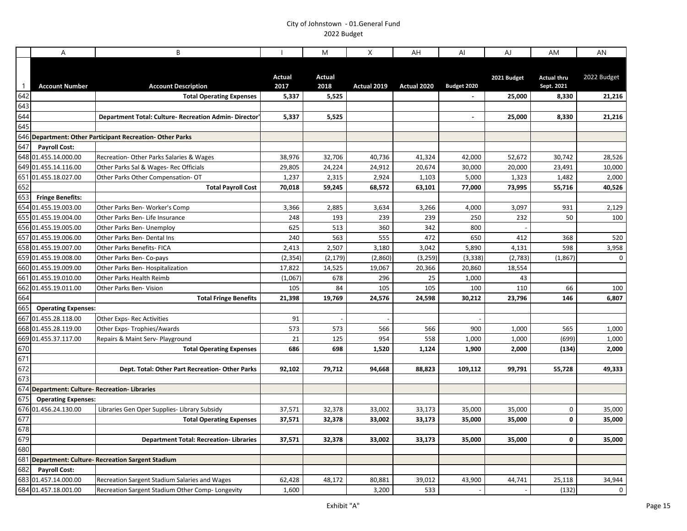|              | A                                              | B                                                            |                       | M              | X           | AH          | AI             | AJ          | AM                               | AN          |
|--------------|------------------------------------------------|--------------------------------------------------------------|-----------------------|----------------|-------------|-------------|----------------|-------------|----------------------------------|-------------|
| $\mathbf{1}$ | <b>Account Number</b>                          | <b>Account Description</b>                                   | <b>Actual</b><br>2017 | Actual<br>2018 | Actual 2019 | Actual 2020 | Budget 2020    | 2021 Budget | <b>Actual thru</b><br>Sept. 2021 | 2022 Budget |
| 642          |                                                | <b>Total Operating Expenses</b>                              | 5,337                 | 5,525          |             |             |                | 25,000      | 8,330                            | 21,216      |
| 643          |                                                |                                                              |                       |                |             |             |                |             |                                  |             |
| 644          |                                                | <b>Department Total: Culture- Recreation Admin- Director</b> | 5,337                 | 5,525          |             |             | $\blacksquare$ | 25,000      | 8,330                            | 21,216      |
| 645          |                                                |                                                              |                       |                |             |             |                |             |                                  |             |
|              |                                                | 646 Department: Other Participant Recreation-Other Parks     |                       |                |             |             |                |             |                                  |             |
| 647          | <b>Payroll Cost:</b>                           |                                                              |                       |                |             |             |                |             |                                  |             |
|              | 648 01.455.14.000.00                           | Recreation-Other Parks Salaries & Wages                      | 38,976                | 32,706         | 40,736      | 41,324      | 42,000         | 52,672      | 30,742                           | 28,526      |
|              | 649 01.455.14.116.00                           | Other Parks Sal & Wages- Rec Officials                       | 29,805                | 24,224         | 24,912      | 20,674      | 30,000         | 20,000      | 23,491                           | 10,000      |
|              | 651 01.455.18.027.00                           | Other Parks Other Compensation- OT                           | 1,237                 | 2,315          | 2,924       | 1,103       | 5,000          | 1,323       | 1,482                            | 2,000       |
| 652          |                                                | <b>Total Payroll Cost</b>                                    | 70,018                | 59,245         | 68,572      | 63,101      | 77,000         | 73,995      | 55,716                           | 40,526      |
| 653          | <b>Fringe Benefits:</b>                        |                                                              |                       |                |             |             |                |             |                                  |             |
|              | 654 01.455.19.003.00                           | Other Parks Ben-Worker's Comp                                | 3,366                 | 2,885          | 3,634       | 3,266       | 4,000          | 3,097       | 931                              | 2,129       |
|              | 655 01.455.19.004.00                           | Other Parks Ben- Life Insurance                              | 248                   | 193            | 239         | 239         | 250            | 232         | 50                               | 100         |
|              | 656 01.455.19.005.00                           | Other Parks Ben- Unemploy                                    | 625                   | 513            | 360         | 342         | 800            |             |                                  |             |
|              | 657 01.455.19.006.00                           | Other Parks Ben- Dental Ins                                  | 240                   | 563            | 555         | 472         | 650            | 412         | 368                              | 520         |
|              | 658 01.455.19.007.00                           | Other Parks Benefits- FICA                                   | 2,413                 | 2,507          | 3,180       | 3,042       | 5,890          | 4,131       | 598                              | 3,958       |
|              | 659 01.455.19.008.00                           | Other Parks Ben- Co-pays                                     | (2, 354)              | (2, 179)       | (2,860)     | (3, 259)    | (3, 338)       | (2,783)     | (1, 867)                         | $\mathbf 0$ |
|              | 660 01.455.19.009.00                           | Other Parks Ben-Hospitalization                              | 17,822                | 14,525         | 19,067      | 20,366      | 20,860         | 18,554      |                                  |             |
|              | 661 01.455.19.010.00                           | Other Parks Health Reimb                                     | (1,067)               | 678            | 296         | 25          | 1,000          | 43          |                                  |             |
|              | 662 01.455.19.011.00                           | <b>Other Parks Ben- Vision</b>                               | 105                   | 84             | 105         | 105         | 100            | 110         | 66                               | 100         |
| 664          |                                                | <b>Total Fringe Benefits</b>                                 | 21,398                | 19,769         | 24,576      | 24,598      | 30,212         | 23,796      | 146                              | 6,807       |
| 665          | <b>Operating Expenses:</b>                     |                                                              |                       |                |             |             |                |             |                                  |             |
|              | 667 01.455.28.118.00                           | Other Exps- Rec Activities                                   | 91                    |                |             |             |                |             |                                  |             |
|              | 668 01.455.28.119.00                           | Other Exps-Trophies/Awards                                   | 573                   | 573            | 566         | 566         | 900            | 1,000       | 565                              | 1,000       |
|              | 669 01.455.37.117.00                           | Repairs & Maint Serv- Playground                             | 21                    | 125            | 954         | 558         | 1,000          | 1,000       | (699)                            | 1,000       |
| 670          |                                                | <b>Total Operating Expenses</b>                              | 686                   | 698            | 1,520       | 1,124       | 1,900          | 2,000       | (134)                            | 2,000       |
| 671          |                                                |                                                              |                       |                |             |             |                |             |                                  |             |
| 672          |                                                | Dept. Total: Other Part Recreation-Other Parks               | 92,102                | 79,712         | 94,668      | 88,823      | 109,112        | 99,791      | 55,728                           | 49,333      |
| 673          |                                                |                                                              |                       |                |             |             |                |             |                                  |             |
|              | 674 Department: Culture- Recreation- Libraries |                                                              |                       |                |             |             |                |             |                                  |             |
| 675          | <b>Operating Expenses:</b>                     |                                                              |                       |                |             |             |                |             |                                  |             |
|              | 676 01.456.24.130.00                           | Libraries Gen Oper Supplies- Library Subsidy                 | 37,571                | 32,378         | 33,002      | 33,173      | 35,000         | 35,000      | 0                                | 35,000      |
| 677          |                                                | <b>Total Operating Expenses</b>                              | 37,571                | 32,378         | 33,002      | 33,173      | 35,000         | 35,000      | 0                                | 35,000      |
| 678          |                                                |                                                              |                       |                |             |             |                |             |                                  |             |
| 679          |                                                | <b>Department Total: Recreation-Libraries</b>                | 37,571                | 32,378         | 33,002      | 33,173      | 35,000         | 35,000      | 0                                | 35,000      |
| 680          |                                                |                                                              |                       |                |             |             |                |             |                                  |             |
|              |                                                | 681 Department: Culture- Recreation Sargent Stadium          |                       |                |             |             |                |             |                                  |             |
| 682          | <b>Payroll Cost:</b>                           |                                                              |                       |                |             |             |                |             |                                  |             |
|              | 683 01.457.14.000.00                           | Recreation Sargent Stadium Salaries and Wages                | 62,428                | 48,172         | 80,881      | 39,012      | 43,900         | 44,741      | 25,118                           | 34,944      |
|              | 684 01.457.18.001.00                           | Recreation Sargent Stadium Other Comp- Longevity             | 1,600                 |                | 3,200       | 533         |                |             | (132)                            | $\mathbf 0$ |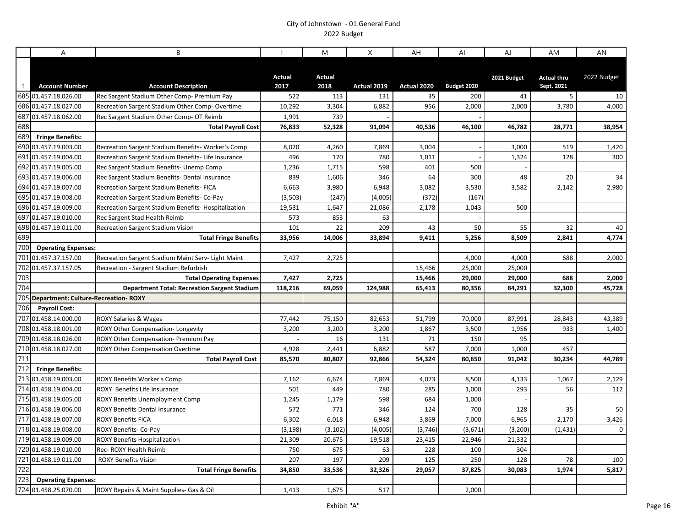|              | A                                            | B                                                   |                   | M                     | X            | AH          | Al             | AJ          | AM                               | AN          |
|--------------|----------------------------------------------|-----------------------------------------------------|-------------------|-----------------------|--------------|-------------|----------------|-------------|----------------------------------|-------------|
| $\mathbf{1}$ | <b>Account Number</b>                        | <b>Account Description</b>                          | Actual<br>2017    | <b>Actual</b><br>2018 | Actual 2019  | Actual 2020 | Budget 2020    | 2021 Budget | <b>Actual thru</b><br>Sept. 2021 | 2022 Budget |
|              | 685 01.457.18.026.00                         | Rec Sargent Stadium Other Comp- Premium Pay         | 522               | 113                   | 131          | 35          | 200            | 41          | 5                                | 10          |
|              | 686 01.457.18.027.00                         | Recreation Sargent Stadium Other Comp-Overtime      | 10,292            | 3,304                 | 6,882        | 956         | 2,000          | 2,000       | 3,780                            | 4,000       |
|              | 687 01.457.18.062.00                         | Rec Sargent Stadium Other Comp- OT Reimb            | 1,991             | 739                   |              |             |                |             |                                  |             |
| 688          |                                              | <b>Total Payroll Cost</b>                           | 76,833            | 52,328                | 91,094       | 40,536      | 46,100         | 46,782      | 28,771                           | 38,954      |
| 689          | <b>Fringe Benefits:</b>                      |                                                     |                   |                       |              |             |                |             |                                  |             |
|              | 690 01.457.19.003.00                         | Recreation Sargent Stadium Benefits-Worker's Comp   | 8,020             | 4,260                 | 7,869        | 3,004       |                | 3,000       | 519                              | 1,420       |
|              | 691 01.457.19.004.00                         | Recreation Sargent Stadium Benefits- Life Insurance | 496               | 170                   | 780          | 1,011       |                | 1,324       | 128                              | 300         |
|              | 692 01.457.19.005.00                         | Rec Sargent Stadium Benefits- Unemp Comp            | 1,236             | 1,715                 | 598          | 401         | 500            |             |                                  |             |
|              | 693 01.457.19.006.00                         | Rec Sargent Stadium Benefits- Dental Insurance      | 839               | 1,606                 | 346          | 64          | 300            | 48          | 20                               | 34          |
|              | 694 01.457.19.007.00                         | <b>Recreation Sargent Stadium Benefits-FICA</b>     | 6,663             | 3,980                 | 6,948        | 3,082       | 3,530          | 3,582       | 2,142                            | 2,980       |
|              | 695 01.457.19.008.00<br>696 01.457.19.009.00 | Recreation Sargent Stadium Benefits- Co-Pay         | (3,503)<br>19,531 | (247)                 | (4,005)      | (372)       | (167)<br>1,043 |             |                                  |             |
|              | 697 01.457.19.010.00                         | Recreation Sargent Stadium Benefits-Hospitalization | 573               | 1,647                 | 21,086<br>63 | 2,178       |                | 500         |                                  |             |
|              |                                              | Rec Sargent Stad Health Reimb                       | 101               | 853<br>22             | 209          |             | 50             | 55          | 32                               |             |
| 699          | 698 01.457.19.011.00                         | <b>Recreation Sargent Stadium Vision</b>            | 33,956            | 14,006                | 33,894       | 43<br>9,411 | 5,256          | 8,509       | 2,841                            | 40<br>4,774 |
| 700          | <b>Operating Expenses:</b>                   | <b>Total Fringe Benefits</b>                        |                   |                       |              |             |                |             |                                  |             |
|              | 701 01.457.37.157.00                         | Recreation Sargent Stadium Maint Serv- Light Maint  | 7,427             | 2,725                 |              |             | 4,000          | 4,000       | 688                              | 2,000       |
|              | 702 01.457.37.157.05                         | Recreation - Sargent Stadium Refurbish              |                   |                       |              | 15,466      | 25,000         | 25,000      |                                  |             |
| 703          |                                              | <b>Total Operating Expenses</b>                     | 7,427             | 2,725                 |              | 15,466      | 29,000         | 29,000      | 688                              | 2,000       |
| 704          |                                              | <b>Department Total: Recreation Sargent Stadium</b> | 118,216           | 69,059                | 124,988      | 65,413      | 80,356         | 84,291      | 32,300                           | 45,728      |
|              | 705 Department: Culture-Recreation-ROXY      |                                                     |                   |                       |              |             |                |             |                                  |             |
| 706          | <b>Payroll Cost:</b>                         |                                                     |                   |                       |              |             |                |             |                                  |             |
|              | 707 01.458.14.000.00                         | ROXY Salaries & Wages                               | 77,442            | 75,150                | 82,653       | 51,799      | 70,000         | 87,991      | 28,843                           | 43,389      |
|              | 708 01.458.18.001.00                         | <b>ROXY Other Compensation- Longevity</b>           | 3,200             | 3,200                 | 3,200        | 1,867       | 3,500          | 1,956       | 933                              | 1,400       |
|              | 709 01.458.18.026.00                         | ROXY Other Compensation- Premium Pay                |                   | 16                    | 131          | 71          | 150            | 95          |                                  |             |
|              | 710 01.458.18.027.00                         | ROXY Other Compensation Overtime                    | 4,928             | 2,441                 | 6,882        | 587         | 7,000          | 1,000       | 457                              |             |
| 711          |                                              | <b>Total Payroll Cost</b>                           | 85,570            | 80,807                | 92,866       | 54,324      | 80,650         | 91,042      | 30,234                           | 44,789      |
| 712          | <b>Fringe Benefits:</b>                      |                                                     |                   |                       |              |             |                |             |                                  |             |
|              | 713 01.458.19.003.00                         | <b>ROXY Benefits Worker's Comp</b>                  | 7,162             | 6,674                 | 7,869        | 4,073       | 8,500          | 4,133       | 1,067                            | 2,129       |
|              | 714 01.458.19.004.00                         | ROXY Benefits Life Insurance                        | 501               | 449                   | 780          | 285         | 1,000          | 293         | 56                               | 112         |
|              | 715 01.458.19.005.00                         | <b>ROXY Benefits Unemployment Comp</b>              | 1,245             | 1,179                 | 598          | 684         | 1,000          |             |                                  |             |
|              | 716 01.458.19.006.00                         | <b>ROXY Benefits Dental Insurance</b>               | 572               | 771                   | 346          | 124         | 700            | 128         | 35                               | 50          |
|              | 717 01.458.19.007.00                         | <b>ROXY Benefits FICA</b>                           | 6,302             | 6,018                 | 6,948        | 3,869       | 7,000          | 6,965       | 2,170                            | 3,426       |
|              | 718 01.458.19.008.00                         | ROXY Benefits- Co-Pay                               | (3, 198)          | (3, 102)              | (4,005)      | (3,746)     | (3,671)        | (3,200)     | (1,431)                          | $\mathbf 0$ |
|              | 719 01.458.19.009.00                         | ROXY Benefits Hospitalization                       | 21,309            | 20,675                | 19,518       | 23,415      | 22,946         | 21,332      |                                  |             |
|              | 720 01.458.19.010.00                         | Rec-ROXY Health Reimb                               | 750               | 675                   | 63           | 228         | 100            | 304         |                                  |             |
|              | 721 01.458.19.011.00                         | <b>ROXY Benefits Vision</b>                         | 207               | 197                   | 209          | 125         | 250            | 128         | 78                               | 100         |
| 722          |                                              | <b>Total Fringe Benefits</b>                        | 34,850            | 33,536                | 32,326       | 29,057      | 37,825         | 30,083      | 1,974                            | 5,817       |
| 723          | <b>Operating Expenses:</b>                   |                                                     |                   |                       |              |             |                |             |                                  |             |
|              | 724 01.458.25.070.00                         | ROXY Repairs & Maint Supplies- Gas & Oil            | 1,413             | 1,675                 | 517          |             | 2,000          |             |                                  |             |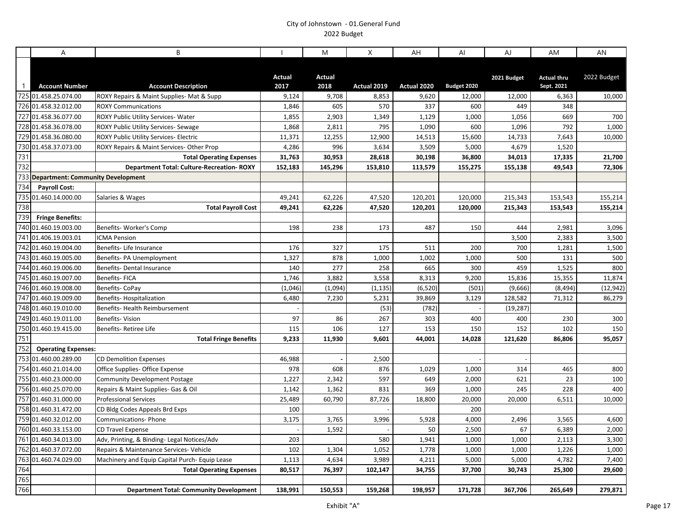|                | A                                        | B                                                                           |                | M              | X           | AH           | Al             | AJ          | AM                               | AN          |
|----------------|------------------------------------------|-----------------------------------------------------------------------------|----------------|----------------|-------------|--------------|----------------|-------------|----------------------------------|-------------|
| $\overline{1}$ | <b>Account Number</b>                    | <b>Account Description</b>                                                  | Actual<br>2017 | Actual<br>2018 | Actual 2019 | Actual 2020  | Budget 2020    | 2021 Budget | <b>Actual thru</b><br>Sept. 2021 | 2022 Budget |
|                | 725 01.458.25.074.00                     | ROXY Repairs & Maint Supplies- Mat & Supp                                   | 9,124          | 9,708          | 8,853       | 9,620        | 12,000         | 12,000      | 6,363                            | 10,000      |
|                | 726 01.458.32.012.00                     | <b>ROXY Communications</b>                                                  | 1,846          | 605            | 570         | 337          | 600            | 449         | 348                              |             |
|                | 727 01.458.36.077.00                     | ROXY Public Utility Services-Water                                          | 1,855          | 2,903          | 1,349       | 1,129        | 1,000          | 1,056       | 669                              | 700         |
|                | 728 01.458.36.078.00                     | ROXY Public Utility Services- Sewage                                        | 1,868          | 2,811          | 795         | 1,090        | 600            | 1,096       | 792                              | 1,000       |
|                | 729 01.458.36.080.00                     | <b>ROXY Public Utility Services- Electric</b>                               | 11,371         | 12,255         | 12,900      | 14,513       | 15,600         | 14,733      | 7,643                            | 10,000      |
|                | 730 01.458.37.073.00                     | ROXY Repairs & Maint Services-Other Prop                                    | 4,286          | 996            | 3,634       | 3,509        | 5,000          | 4,679       | 1,520                            |             |
| 731            |                                          | <b>Total Operating Expenses</b>                                             | 31,763         | 30,953         | 28,618      | 30,198       | 36,800         | 34,013      | 17,335                           | 21,700      |
| 732            |                                          | <b>Department Total: Culture-Recreation-ROXY</b>                            | 152,183        | 145,296        | 153,810     | 113,579      | 155,275        | 155,138     | 49,543                           | 72,306      |
|                | 733 Department: Community Development    |                                                                             |                |                |             |              |                |             |                                  |             |
| 734            | <b>Payroll Cost:</b>                     |                                                                             |                |                |             |              |                |             |                                  |             |
| 735            | 01.460.14.000.00                         | Salaries & Wages                                                            | 49,241         | 62,226         | 47,520      | 120,201      | 120,000        | 215,343     | 153,543                          | 155,214     |
| 738            |                                          | <b>Total Payroll Cost</b>                                                   | 49,241         | 62,226         | 47,520      | 120,201      | 120,000        | 215,343     | 153,543                          | 155,214     |
| 739            | <b>Fringe Benefits:</b>                  |                                                                             |                |                |             |              |                |             |                                  |             |
|                | 740 01.460.19.003.00                     | Benefits-Worker's Comp                                                      | 198            | 238            | 173         | 487          | 150            | 444         | 2,981                            | 3,096       |
|                | 741 01.406.19.003.01                     | <b>ICMA Pension</b>                                                         |                |                |             |              |                | 3,500       | 2,383                            | 3,500       |
|                | 742 01.460.19.004.00                     | Benefits-Life Insurance                                                     | 176            | 327            | 175         | 511          | 200            | 700         | 1,281                            | 1,500       |
|                | 743 01.460.19.005.00                     | Benefits- PA Unemployment                                                   | 1,327          | 878            | 1,000       | 1,002        | 1,000          | 500         | 131                              | 500         |
|                | 744 01.460.19.006.00                     | Benefits-Dental Insurance                                                   | 140            | 277            | 258         | 665          | 300            | 459         | 1,525                            | 800         |
|                | 745 01.460.19.007.00                     | <b>Benefits-FICA</b>                                                        | 1,746          | 3,882          | 3,558       | 8,313        | 9,200          | 15,836      | 15,355                           | 11,874      |
|                | 746 01.460.19.008.00                     | Benefits-CoPay                                                              | (1,046)        | (1,094)        | (1, 135)    | (6, 520)     | (501)          | (9,666)     | (8, 494)                         | (12, 942)   |
| 747            | 01.460.19.009.00                         | <b>Benefits-Hospitalization</b>                                             | 6,480          | 7,230          | 5,231       | 39,869       | 3,129          | 128,582     | 71,312                           | 86,279      |
|                | 748 01.460.19.010.00                     | Benefits- Health Reimbursement                                              |                |                | (53)        | (782)        |                | (19, 287)   |                                  |             |
|                | 749 01.460.19.011.00                     | <b>Benefits-Vision</b>                                                      | 97             | 86             | 267         | 303          | 400            | 400         | 230                              | 300         |
|                | 750 01.460.19.415.00                     | Benefits-Retiree Life                                                       | 115            | 106            | 127         | 153          | 150            | 152         | 102                              | 150         |
| 751            |                                          | <b>Total Fringe Benefits</b>                                                | 9,233          | 11,930         | 9,601       | 44,001       | 14,028         | 121,620     | 86,806                           | 95,057      |
| 752            | <b>Operating Expenses:</b>               |                                                                             |                |                |             |              |                |             |                                  |             |
| 753            | 01.460.00.289.00<br>754 01.460.21.014.00 | <b>CD Demolition Expenses</b>                                               | 46,988         |                | 2,500       |              |                |             |                                  |             |
|                | 755 01.460.23.000.00                     | Office Supplies- Office Expense                                             | 978<br>1,227   | 608<br>2,342   | 876<br>597  | 1,029<br>649 | 1,000<br>2,000 | 314<br>621  | 465<br>23                        | 800<br>100  |
|                | 756 01.460.25.070.00                     | <b>Community Development Postage</b><br>Repairs & Maint Supplies- Gas & Oil | 1,142          | 1,362          | 831         | 369          | 1,000          | 245         | 228                              | 400         |
|                | 757 01.460.31.000.00                     | <b>Professional Services</b>                                                | 25,489         | 60,790         | 87,726      | 18,800       | 20,000         | 20,000      | 6,511                            | 10,000      |
|                | 758 01.460.31.472.00                     | CD Bldg Codes Appeals Brd Exps                                              | 100            |                |             |              | 200            |             |                                  |             |
|                | 759 01.460.32.012.00                     | <b>Communications-Phone</b>                                                 | 3,175          | 3,765          | 3,996       | 5,928        | 4,000          | 2,496       | 3,565                            | 4,600       |
|                | 760 01.460.33.153.00                     | <b>CD Travel Expense</b>                                                    |                | 1,592          |             | 50           | 2,500          | 67          | 6,389                            | 2,000       |
|                | 761 01.460.34.013.00                     | Adv, Printing, & Binding- Legal Notices/Adv                                 | 203            |                | 580         | 1,941        | 1,000          | 1,000       | 2,113                            | 3,300       |
|                | 762 01.460.37.072.00                     | Repairs & Maintenance Services- Vehicle                                     | 102            | 1,304          | 1,052       | 1,778        | 1,000          | 1,000       | 1,226                            | 1,000       |
| 763            | 01.460.74.029.00                         | Machinery and Equip Capital Purch- Equip Lease                              | 1,113          | 4,634          | 3,989       | 4,211        | 5,000          | 5,000       | 4,782                            | 7,400       |
| 764            |                                          | <b>Total Operating Expenses</b>                                             | 80,517         | 76,397         | 102,147     | 34,755       | 37,700         | 30,743      | 25,300                           | 29,600      |
| 765            |                                          |                                                                             |                |                |             |              |                |             |                                  |             |
| 766            |                                          | <b>Department Total: Community Development</b>                              | 138,991        | 150,553        | 159,268     | 198,957      | 171,728        | 367,706     | 265,649                          | 279,871     |
|                |                                          |                                                                             |                |                |             |              |                |             |                                  |             |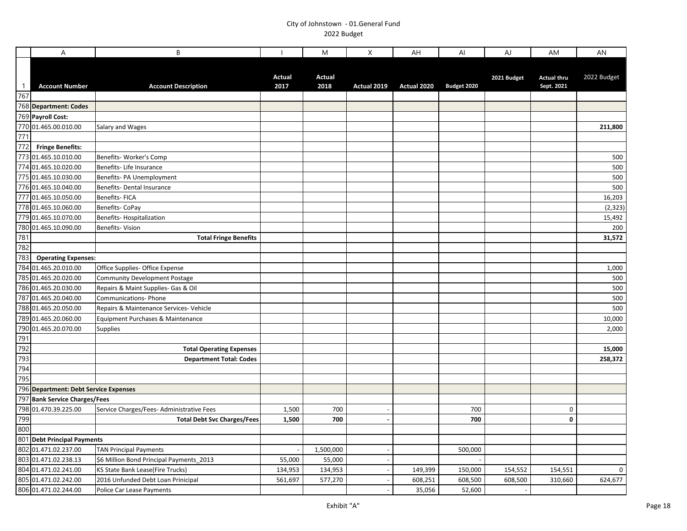|                   | A                                                                         | B                                        |                | M                     | X           | AH          | AI          | AJ          | AM                               | AN           |
|-------------------|---------------------------------------------------------------------------|------------------------------------------|----------------|-----------------------|-------------|-------------|-------------|-------------|----------------------------------|--------------|
| $\mathbf{1}$      | <b>Account Number</b>                                                     | <b>Account Description</b>               | Actual<br>2017 | <b>Actual</b><br>2018 | Actual 2019 | Actual 2020 | Budget 2020 | 2021 Budget | <b>Actual thru</b><br>Sept. 2021 | 2022 Budget  |
|                   | 767<br>768 Department: Codes                                              |                                          |                |                       |             |             |             |             |                                  |              |
|                   |                                                                           |                                          |                |                       |             |             |             |             |                                  |              |
|                   | 769 Payroll Cost:                                                         |                                          |                |                       |             |             |             |             |                                  |              |
|                   | 770 01.465.00.010.00<br>771                                               | Salary and Wages                         |                |                       |             |             |             |             |                                  | 211,800      |
|                   |                                                                           |                                          |                |                       |             |             |             |             |                                  |              |
| 772               | <b>Fringe Benefits:</b>                                                   |                                          |                |                       |             |             |             |             |                                  |              |
| 773               | 01.465.10.010.00                                                          | Benefits- Worker's Comp                  |                |                       |             |             |             |             |                                  | 500          |
|                   | 774 01.465.10.020.00                                                      | Benefits- Life Insurance                 |                |                       |             |             |             |             |                                  | 500          |
|                   | 775 01.465.10.030.00                                                      | Benefits- PA Unemployment                |                |                       |             |             |             |             |                                  | 500          |
|                   | 776 01.465.10.040.00                                                      | Benefits- Dental Insurance               |                |                       |             |             |             |             |                                  | 500          |
|                   | 777 01.465.10.050.00                                                      | Benefits-FICA                            |                |                       |             |             |             |             |                                  | 16,203       |
|                   | 778 01.465.10.060.00                                                      | Benefits-CoPay                           |                |                       |             |             |             |             |                                  | (2, 323)     |
|                   | 779 01.465.10.070.00                                                      | Benefits-Hospitalization                 |                |                       |             |             |             |             |                                  | 15,492       |
|                   |                                                                           | Benefits-Vision                          |                |                       |             |             |             |             |                                  | 200          |
|                   | 780 01.465.10.090.00<br>781<br>782                                        | <b>Total Fringe Benefits</b>             |                |                       |             |             |             |             |                                  | 31,572       |
|                   |                                                                           |                                          |                |                       |             |             |             |             |                                  |              |
|                   | 783 Operating Exper<br>784 01.465.20.010.00<br><b>Operating Expenses:</b> |                                          |                |                       |             |             |             |             |                                  |              |
|                   |                                                                           | Office Supplies- Office Expense          |                |                       |             |             |             |             |                                  | 1,000        |
|                   | 785 01.465.20.020.00                                                      | <b>Community Development Postage</b>     |                |                       |             |             |             |             |                                  | 500          |
|                   | 786 01.465.20.030.00                                                      | Repairs & Maint Supplies- Gas & Oil      |                |                       |             |             |             |             |                                  | 500          |
|                   | 787 01.465.20.040.00                                                      | <b>Communications-Phone</b>              |                |                       |             |             |             |             |                                  | 500          |
|                   | 788 01.465.20.050.00                                                      | Repairs & Maintenance Services- Vehicle  |                |                       |             |             |             |             |                                  | 500          |
|                   | 789 01.465.20.060.00                                                      | Equipment Purchases & Maintenance        |                |                       |             |             |             |             |                                  | 10,000       |
|                   |                                                                           | Supplies                                 |                |                       |             |             |             |             |                                  | 2,000        |
|                   | 790 01.465.20.070.00<br>790 01.465.20.070.00<br>791<br>792                |                                          |                |                       |             |             |             |             |                                  |              |
|                   |                                                                           | <b>Total Operating Expenses</b>          |                |                       |             |             |             |             |                                  | 15,000       |
|                   |                                                                           | <b>Department Total: Codes</b>           |                |                       |             |             |             |             |                                  | 258,372      |
| $\frac{794}{795}$ |                                                                           |                                          |                |                       |             |             |             |             |                                  |              |
|                   |                                                                           |                                          |                |                       |             |             |             |             |                                  |              |
|                   | 796 Department: Debt Service Expenses                                     |                                          |                |                       |             |             |             |             |                                  |              |
|                   | 797 Bank Service Charges/Fees                                             |                                          |                |                       |             |             |             |             |                                  |              |
|                   | 798 01.470.39.225.00                                                      | Service Charges/Fees-Administrative Fees | 1,500          | 700                   |             |             | 700         |             | 0                                |              |
|                   |                                                                           | <b>Total Debt Svc Charges/Fees</b>       | 1,500          | 700                   |             |             | 700         |             | 0                                |              |
| 799<br>800<br>801 |                                                                           |                                          |                |                       |             |             |             |             |                                  |              |
|                   | <b>Debt Principal Payments</b>                                            |                                          |                |                       |             |             |             |             |                                  |              |
|                   | 802 01.471.02.237.00                                                      | <b>TAN Principal Payments</b>            |                | 1,500,000             |             |             | 500,000     |             |                                  |              |
|                   | 803 01.471.02.238.13                                                      | \$6 Million Bond Principal Payments 2013 | 55,000         | 55,000                |             |             |             |             |                                  |              |
|                   | 804 01.471.02.241.00                                                      | KS State Bank Lease(Fire Trucks)         | 134,953        | 134,953               |             | 149,399     | 150,000     | 154,552     | 154,551                          | $\mathsf{O}$ |
|                   | 805 01.471.02.242.00<br>806 01.471.02.244.00                              | 2016 Unfunded Debt Loan Prinicipal       | 561,697        | 577,270               |             | 608,251     | 608,500     | 608,500     | 310,660                          | 624,677      |
|                   |                                                                           | Police Car Lease Payments                |                |                       |             | 35,056      | 52,600      |             |                                  |              |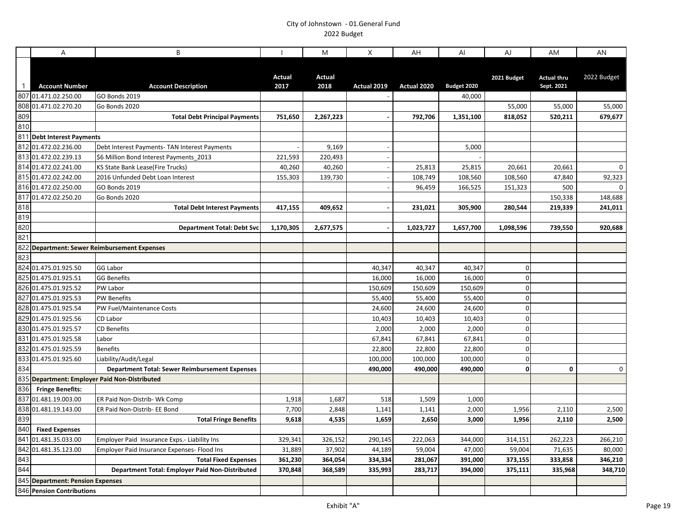|              | $\overline{A}$                   | B                                                     |               | M             | X              | AH          | AI          | AJ          | AM                 | AN          |
|--------------|----------------------------------|-------------------------------------------------------|---------------|---------------|----------------|-------------|-------------|-------------|--------------------|-------------|
|              |                                  |                                                       |               |               |                |             |             |             |                    |             |
|              |                                  |                                                       | <b>Actual</b> | <b>Actual</b> |                |             |             | 2021 Budget | <b>Actual thru</b> | 2022 Budget |
| $\mathbf{1}$ | <b>Account Number</b>            | <b>Account Description</b>                            | 2017          | 2018          | Actual 2019    | Actual 2020 | Budget 2020 |             | Sept. 2021         |             |
|              | 807 01.471.02.250.00             | GO Bonds 2019                                         |               |               |                |             | 40,000      |             |                    |             |
|              | 808 01.471.02.270.20             | Go Bonds 2020                                         |               |               |                |             |             | 55,000      | 55,000             | 55,000      |
| 809          |                                  | <b>Total Debt Principal Payments</b>                  | 751,650       | 2,267,223     |                | 792,706     | 1,351,100   | 818,052     | 520,211            | 679,677     |
| 810          |                                  |                                                       |               |               |                |             |             |             |                    |             |
|              | 811 Debt Interest Payments       |                                                       |               |               |                |             |             |             |                    |             |
|              | 812 01.472.02.236.00             | Debt Interest Payments- TAN Interest Payments         |               | 9,169         |                |             | 5,000       |             |                    |             |
|              | 813 01.472.02.239.13             | \$6 Million Bond Interest Payments 2013               | 221,593       | 220,493       |                |             |             |             |                    |             |
|              | 814 01.472.02.241.00             | KS State Bank Lease(Fire Trucks)                      | 40,260        | 40,260        |                | 25,813      | 25,815      | 20,661      | 20,661             | 0           |
|              | 815 01.472.02.242.00             | 2016 Unfunded Debt Loan Interest                      | 155,303       | 139,730       | $\blacksquare$ | 108,749     | 108,560     | 108,560     | 47,840             | 92,323      |
|              | 816 01.472.02.250.00             | <b>GO Bonds 2019</b>                                  |               |               |                | 96,459      | 166,525     | 151,323     | 500                | 0           |
|              | 817 01.472.02.250.20             | Go Bonds 2020                                         |               |               |                |             |             |             | 150,338            | 148,688     |
| 818          |                                  | <b>Total Debt Interest Payments</b>                   | 417,155       | 409,652       |                | 231,021     | 305,900     | 280,544     | 219,339            | 241,011     |
| 819          |                                  |                                                       |               |               |                |             |             |             |                    |             |
| 820          |                                  | <b>Department Total: Debt Svc</b>                     | 1,170,305     | 2,677,575     |                | 1,023,727   | 1,657,700   | 1,098,596   | 739,550            | 920,688     |
| 821          |                                  |                                                       |               |               |                |             |             |             |                    |             |
| 82           |                                  | <b>Department: Sewer Reimbursement Expenses</b>       |               |               |                |             |             |             |                    |             |
| 823          |                                  |                                                       |               |               |                |             |             |             |                    |             |
|              | 824 01.475.01.925.50             | GG Labor                                              |               |               | 40,347         | 40,347      | 40,347      | $\mathbf 0$ |                    |             |
|              | 825 01.475.01.925.51             | <b>GG Benefits</b>                                    |               |               | 16,000         | 16,000      | 16,000      | 0           |                    |             |
|              | 826 01.475.01.925.52             | PW Labor                                              |               |               | 150,609        | 150,609     | 150,609     | $\mathbf 0$ |                    |             |
|              | 827 01.475.01.925.53             | <b>PW Benefits</b>                                    |               |               | 55,400         | 55,400      | 55,400      | $\pmb{0}$   |                    |             |
|              | 828 01.475.01.925.54             | PW Fuel/Maintenance Costs                             |               |               | 24,600         | 24,600      | 24,600      | $\pmb{0}$   |                    |             |
|              | 829 01.475.01.925.56             | CD Labor                                              |               |               | 10,403         | 10,403      | 10,403      | $\pmb{0}$   |                    |             |
|              | 830 01.475.01.925.57             | <b>CD Benefits</b>                                    |               |               | 2,000          | 2,000       | 2,000       | $\mathbf 0$ |                    |             |
|              | 831 01.475.01.925.58             | Labor                                                 |               |               | 67,841         | 67,841      | 67,841      | $\pmb{0}$   |                    |             |
|              | 832 01.475.01.925.59             | <b>Benefits</b>                                       |               |               | 22,800         | 22,800      | 22,800      | 0           |                    |             |
|              | 833 01.475.01.925.60             | Liability/Audit/Legal                                 |               |               | 100,000        | 100,000     | 100,000     | $\pmb{0}$   |                    |             |
| 834          |                                  | <b>Department Total: Sewer Reimbursement Expenses</b> |               |               | 490.000        | 490,000     | 490.000     | $\mathbf 0$ | $\mathbf 0$        | 0           |
|              |                                  | 835 Department: Employer Paid Non-Distributed         |               |               |                |             |             |             |                    |             |
| 836          | <b>Fringe Benefits:</b>          |                                                       |               |               |                |             |             |             |                    |             |
| 837          | 01.481.19.003.00                 | ER Paid Non-Distrib- Wk Comp                          | 1,918         | 1,687         | 518            | 1,509       | 1.000       |             |                    |             |
|              | 838 01.481.19.143.00             | ER Paid Non-Distrib- EE Bond                          | 7,700         | 2,848         | 1,141          | 1,141       | 2,000       | 1,956       | 2,110              | 2,500       |
| 839          |                                  | <b>Total Fringe Benefits</b>                          | 9,618         | 4,535         | 1,659          | 2,650       | 3,000       | 1,956       | 2,110              | 2,500       |
| 840          | <b>Fixed Expenses</b>            |                                                       |               |               |                |             |             |             |                    |             |
|              | 841 01.481.35.033.00             | Employer Paid Insurance Exps.- Liability Ins          | 329,341       | 326,152       | 290,145        | 222,063     | 344,000     | 314,151     | 262,223            | 266,210     |
|              | 842 01.481.35.123.00             | Employer Paid Insurance Expenses- Flood Ins           | 31,889        | 37,902        | 44,189         | 59,004      | 47,000      | 59,004      | 71,635             | 80,000      |
| 843          |                                  | <b>Total Fixed Expenses</b>                           | 361,230       | 364,054       | 334,334        | 281,067     | 391,000     | 373,155     | 333,858            | 346,210     |
| 844          |                                  | Department Total: Employer Paid Non-Distributed       | 370,848       | 368,589       | 335,993        | 283,717     | 394,000     | 375,111     | 335,968            | 348,710     |
|              | 845 Department: Pension Expenses |                                                       |               |               |                |             |             |             |                    |             |
|              | 846 Pension Contributions        |                                                       |               |               |                |             |             |             |                    |             |